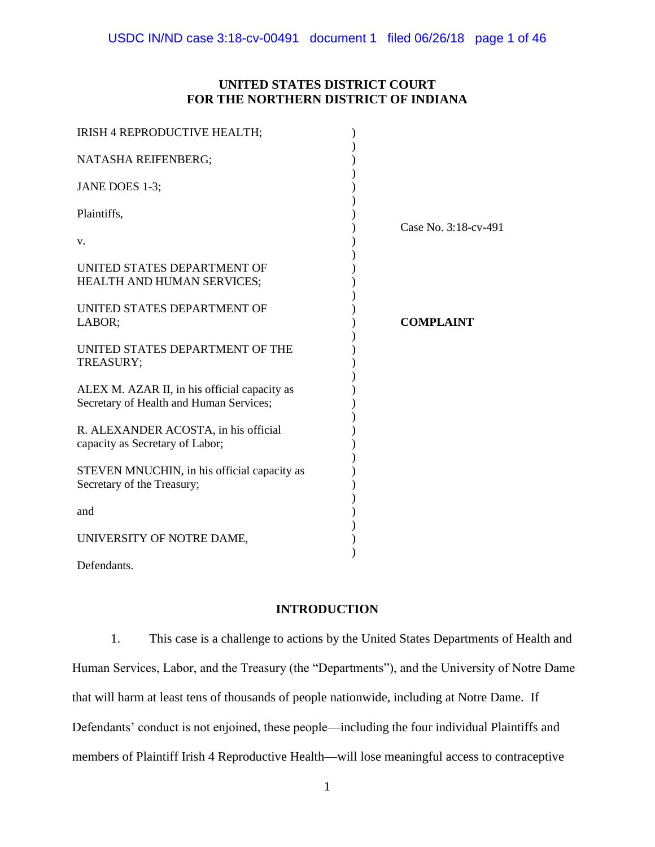# **UNITED STATES DISTRICT COURT FOR THE NORTHERN DISTRICT OF INDIANA**

| IRISH 4 REPRODUCTIVE HEALTH;                                                            |                      |
|-----------------------------------------------------------------------------------------|----------------------|
| NATASHA REIFENBERG;                                                                     |                      |
| JANE DOES 1-3;                                                                          |                      |
| Plaintiffs,                                                                             |                      |
| V.                                                                                      | Case No. 3:18-cv-491 |
| UNITED STATES DEPARTMENT OF<br>HEALTH AND HUMAN SERVICES;                               |                      |
| UNITED STATES DEPARTMENT OF<br>LABOR;                                                   | <b>COMPLAINT</b>     |
| UNITED STATES DEPARTMENT OF THE<br>TREASURY;                                            |                      |
| ALEX M. AZAR II, in his official capacity as<br>Secretary of Health and Human Services; |                      |
| R. ALEXANDER ACOSTA, in his official<br>capacity as Secretary of Labor;                 |                      |
| STEVEN MNUCHIN, in his official capacity as<br>Secretary of the Treasury;               |                      |
| and                                                                                     |                      |
| UNIVERSITY OF NOTRE DAME,                                                               |                      |
| Defendants.                                                                             |                      |

# **INTRODUCTION**

1. This case is a challenge to actions by the United States Departments of Health and Human Services, Labor, and the Treasury (the "Departments"), and the University of Notre Dame that will harm at least tens of thousands of people nationwide, including at Notre Dame. If Defendants' conduct is not enjoined, these people—including the four individual Plaintiffs and members of Plaintiff Irish 4 Reproductive Health—will lose meaningful access to contraceptive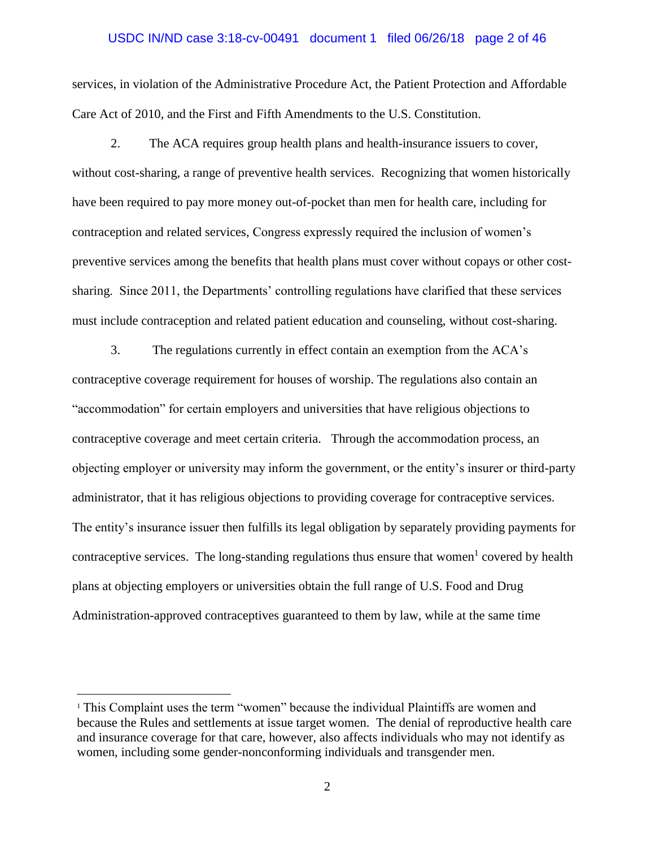### USDC IN/ND case 3:18-cv-00491 document 1 filed 06/26/18 page 2 of 46

services, in violation of the Administrative Procedure Act, the Patient Protection and Affordable Care Act of 2010, and the First and Fifth Amendments to the U.S. Constitution.

2. The ACA requires group health plans and health-insurance issuers to cover, without cost-sharing, a range of preventive health services. Recognizing that women historically have been required to pay more money out-of-pocket than men for health care, including for contraception and related services, Congress expressly required the inclusion of women's preventive services among the benefits that health plans must cover without copays or other costsharing. Since 2011, the Departments' controlling regulations have clarified that these services must include contraception and related patient education and counseling, without cost-sharing.

3. The regulations currently in effect contain an exemption from the ACA's contraceptive coverage requirement for houses of worship. The regulations also contain an "accommodation" for certain employers and universities that have religious objections to contraceptive coverage and meet certain criteria. Through the accommodation process, an objecting employer or university may inform the government, or the entity's insurer or third-party administrator, that it has religious objections to providing coverage for contraceptive services. The entity's insurance issuer then fulfills its legal obligation by separately providing payments for contraceptive services. The long-standing regulations thus ensure that women<sup>1</sup> covered by health plans at objecting employers or universities obtain the full range of U.S. Food and Drug Administration-approved contraceptives guaranteed to them by law, while at the same time

<sup>&</sup>lt;sup>1</sup> This Complaint uses the term "women" because the individual Plaintiffs are women and because the Rules and settlements at issue target women. The denial of reproductive health care and insurance coverage for that care, however, also affects individuals who may not identify as women, including some gender-nonconforming individuals and transgender men.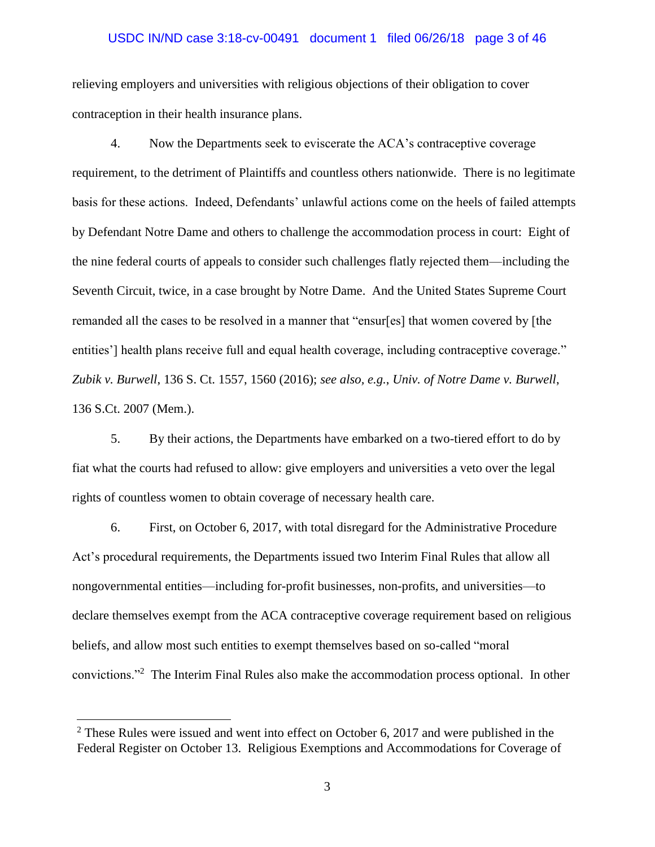## USDC IN/ND case 3:18-cv-00491 document 1 filed 06/26/18 page 3 of 46

relieving employers and universities with religious objections of their obligation to cover contraception in their health insurance plans.

4. Now the Departments seek to eviscerate the ACA's contraceptive coverage requirement, to the detriment of Plaintiffs and countless others nationwide. There is no legitimate basis for these actions. Indeed, Defendants' unlawful actions come on the heels of failed attempts by Defendant Notre Dame and others to challenge the accommodation process in court: Eight of the nine federal courts of appeals to consider such challenges flatly rejected them—including the Seventh Circuit, twice, in a case brought by Notre Dame. And the United States Supreme Court remanded all the cases to be resolved in a manner that "ensur[es] that women covered by [the entities'] health plans receive full and equal health coverage, including contraceptive coverage." *Zubik v. Burwell*, 136 S. Ct. 1557, 1560 (2016); *see also, e.g.*, *Univ. of Notre Dame v. Burwell*, 136 S.Ct. 2007 (Mem.).

5. By their actions, the Departments have embarked on a two-tiered effort to do by fiat what the courts had refused to allow: give employers and universities a veto over the legal rights of countless women to obtain coverage of necessary health care.

6. First, on October 6, 2017, with total disregard for the Administrative Procedure Act's procedural requirements, the Departments issued two Interim Final Rules that allow all nongovernmental entities—including for-profit businesses, non-profits, and universities—to declare themselves exempt from the ACA contraceptive coverage requirement based on religious beliefs, and allow most such entities to exempt themselves based on so-called "moral convictions."<sup>2</sup> The Interim Final Rules also make the accommodation process optional. In other

 $2$  These Rules were issued and went into effect on October 6, 2017 and were published in the Federal Register on October 13. Religious Exemptions and Accommodations for Coverage of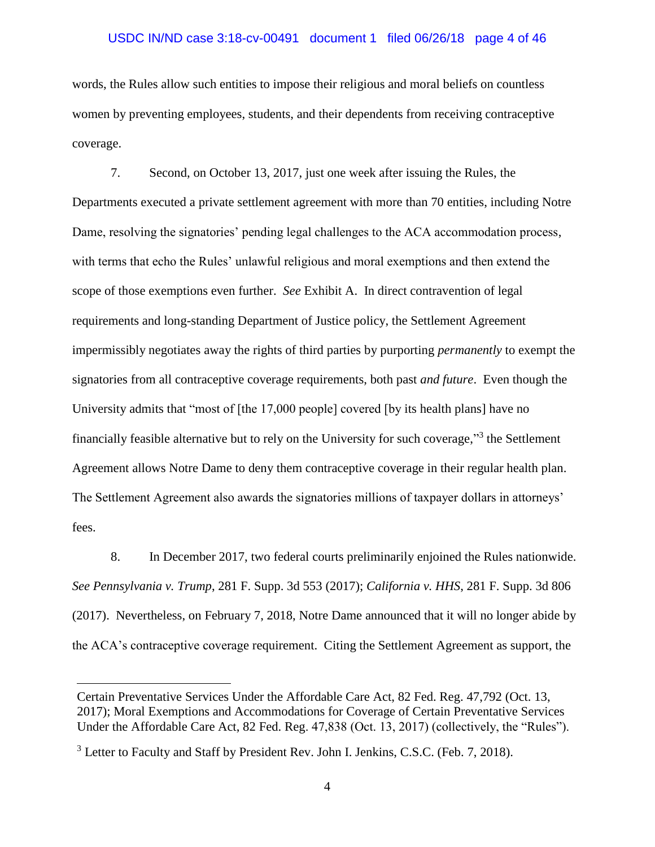## USDC IN/ND case 3:18-cv-00491 document 1 filed 06/26/18 page 4 of 46

words, the Rules allow such entities to impose their religious and moral beliefs on countless women by preventing employees, students, and their dependents from receiving contraceptive coverage.

7. Second, on October 13, 2017, just one week after issuing the Rules, the Departments executed a private settlement agreement with more than 70 entities, including Notre Dame, resolving the signatories' pending legal challenges to the ACA accommodation process, with terms that echo the Rules' unlawful religious and moral exemptions and then extend the scope of those exemptions even further. *See* Exhibit A. In direct contravention of legal requirements and long-standing Department of Justice policy, the Settlement Agreement impermissibly negotiates away the rights of third parties by purporting *permanently* to exempt the signatories from all contraceptive coverage requirements, both past *and future*. Even though the University admits that "most of [the 17,000 people] covered [by its health plans] have no financially feasible alternative but to rely on the University for such coverage,"<sup>3</sup> the Settlement Agreement allows Notre Dame to deny them contraceptive coverage in their regular health plan. The Settlement Agreement also awards the signatories millions of taxpayer dollars in attorneys' fees.

8. In December 2017, two federal courts preliminarily enjoined the Rules nationwide. *See Pennsylvania v. Trump*, 281 F. Supp. 3d 553 (2017); *California v. HHS*, 281 F. Supp. 3d 806 (2017). Nevertheless, on February 7, 2018, Notre Dame announced that it will no longer abide by the ACA's contraceptive coverage requirement. Citing the Settlement Agreement as support, the

Certain Preventative Services Under the Affordable Care Act, 82 Fed. Reg. 47,792 (Oct. 13, 2017); Moral Exemptions and Accommodations for Coverage of Certain Preventative Services Under the Affordable Care Act, 82 Fed. Reg. 47,838 (Oct. 13, 2017) (collectively, the "Rules").

<sup>&</sup>lt;sup>3</sup> Letter to Faculty and Staff by President Rev. John I. Jenkins, C.S.C. (Feb. 7, 2018).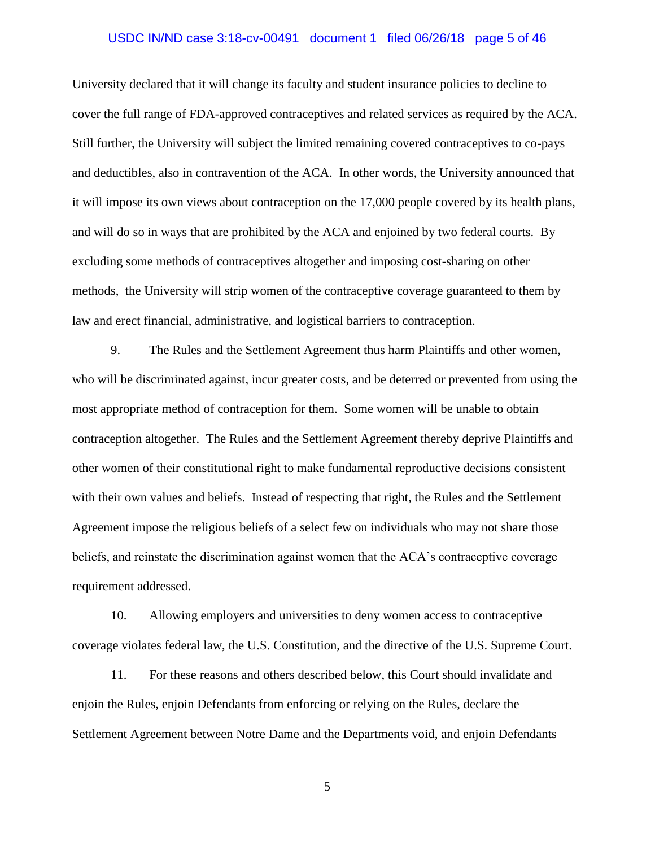### USDC IN/ND case 3:18-cv-00491 document 1 filed 06/26/18 page 5 of 46

University declared that it will change its faculty and student insurance policies to decline to cover the full range of FDA-approved contraceptives and related services as required by the ACA. Still further, the University will subject the limited remaining covered contraceptives to co-pays and deductibles, also in contravention of the ACA. In other words, the University announced that it will impose its own views about contraception on the 17,000 people covered by its health plans, and will do so in ways that are prohibited by the ACA and enjoined by two federal courts. By excluding some methods of contraceptives altogether and imposing cost-sharing on other methods, the University will strip women of the contraceptive coverage guaranteed to them by law and erect financial, administrative, and logistical barriers to contraception.

9. The Rules and the Settlement Agreement thus harm Plaintiffs and other women, who will be discriminated against, incur greater costs, and be deterred or prevented from using the most appropriate method of contraception for them. Some women will be unable to obtain contraception altogether. The Rules and the Settlement Agreement thereby deprive Plaintiffs and other women of their constitutional right to make fundamental reproductive decisions consistent with their own values and beliefs. Instead of respecting that right, the Rules and the Settlement Agreement impose the religious beliefs of a select few on individuals who may not share those beliefs, and reinstate the discrimination against women that the ACA's contraceptive coverage requirement addressed.

10. Allowing employers and universities to deny women access to contraceptive coverage violates federal law, the U.S. Constitution, and the directive of the U.S. Supreme Court.

11. For these reasons and others described below, this Court should invalidate and enjoin the Rules, enjoin Defendants from enforcing or relying on the Rules, declare the Settlement Agreement between Notre Dame and the Departments void, and enjoin Defendants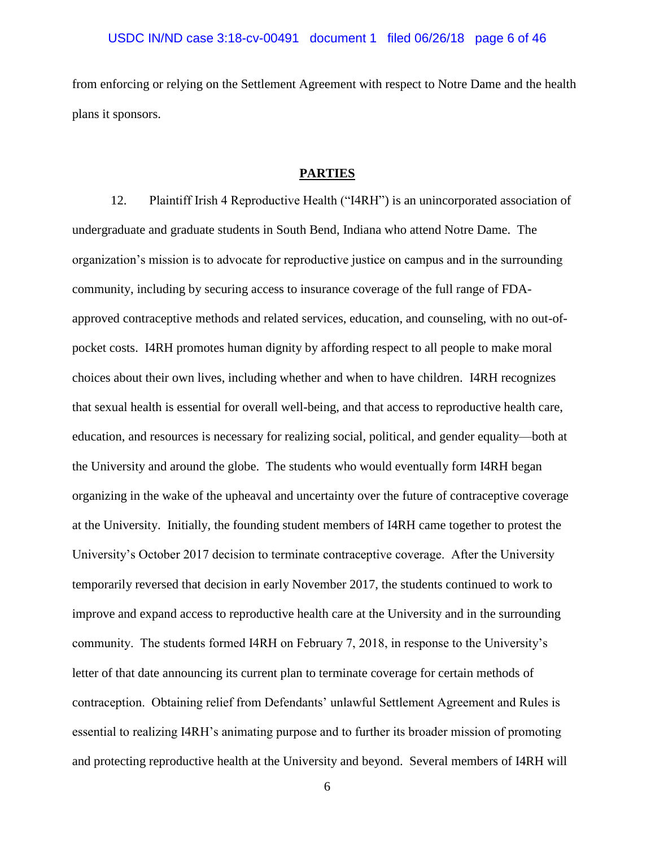from enforcing or relying on the Settlement Agreement with respect to Notre Dame and the health plans it sponsors.

### **PARTIES**

12. Plaintiff Irish 4 Reproductive Health ("I4RH") is an unincorporated association of undergraduate and graduate students in South Bend, Indiana who attend Notre Dame. The organization's mission is to advocate for reproductive justice on campus and in the surrounding community, including by securing access to insurance coverage of the full range of FDAapproved contraceptive methods and related services, education, and counseling, with no out-ofpocket costs. I4RH promotes human dignity by affording respect to all people to make moral choices about their own lives, including whether and when to have children. I4RH recognizes that sexual health is essential for overall well-being, and that access to reproductive health care, education, and resources is necessary for realizing social, political, and gender equality—both at the University and around the globe. The students who would eventually form I4RH began organizing in the wake of the upheaval and uncertainty over the future of contraceptive coverage at the University. Initially, the founding student members of I4RH came together to protest the University's October 2017 decision to terminate contraceptive coverage. After the University temporarily reversed that decision in early November 2017, the students continued to work to improve and expand access to reproductive health care at the University and in the surrounding community. The students formed I4RH on February 7, 2018, in response to the University's letter of that date announcing its current plan to terminate coverage for certain methods of contraception. Obtaining relief from Defendants' unlawful Settlement Agreement and Rules is essential to realizing I4RH's animating purpose and to further its broader mission of promoting and protecting reproductive health at the University and beyond. Several members of I4RH will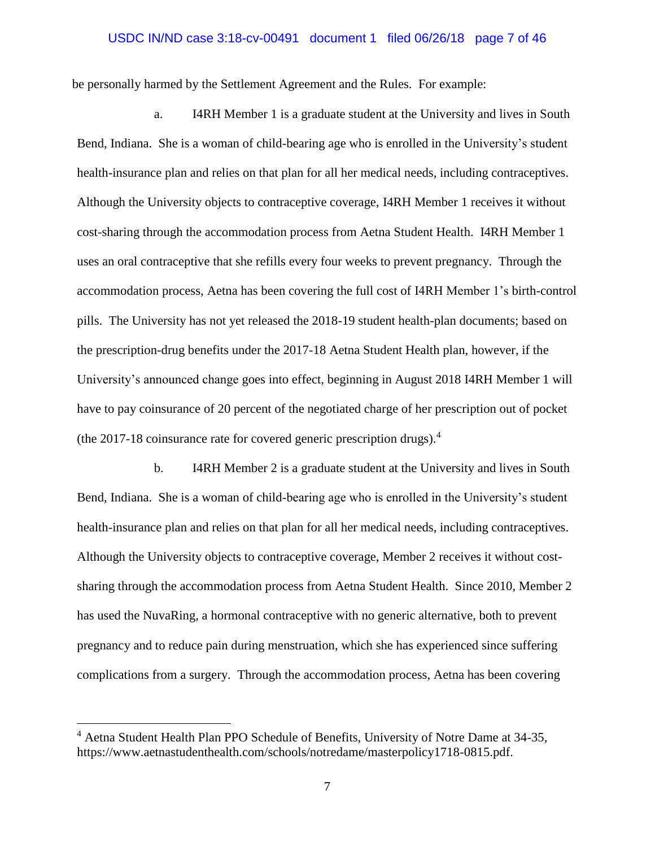## USDC IN/ND case 3:18-cv-00491 document 1 filed 06/26/18 page 7 of 46

be personally harmed by the Settlement Agreement and the Rules. For example:

a. I4RH Member 1 is a graduate student at the University and lives in South Bend, Indiana. She is a woman of child-bearing age who is enrolled in the University's student health-insurance plan and relies on that plan for all her medical needs, including contraceptives. Although the University objects to contraceptive coverage, I4RH Member 1 receives it without cost-sharing through the accommodation process from Aetna Student Health. I4RH Member 1 uses an oral contraceptive that she refills every four weeks to prevent pregnancy. Through the accommodation process, Aetna has been covering the full cost of I4RH Member 1's birth-control pills. The University has not yet released the 2018-19 student health-plan documents; based on the prescription-drug benefits under the 2017-18 Aetna Student Health plan, however, if the University's announced change goes into effect, beginning in August 2018 I4RH Member 1 will have to pay coinsurance of 20 percent of the negotiated charge of her prescription out of pocket (the 2017-18 coinsurance rate for covered generic prescription drugs).<sup>4</sup>

b. I4RH Member 2 is a graduate student at the University and lives in South Bend, Indiana. She is a woman of child-bearing age who is enrolled in the University's student health-insurance plan and relies on that plan for all her medical needs, including contraceptives. Although the University objects to contraceptive coverage, Member 2 receives it without costsharing through the accommodation process from Aetna Student Health. Since 2010, Member 2 has used the NuvaRing, a hormonal contraceptive with no generic alternative, both to prevent pregnancy and to reduce pain during menstruation, which she has experienced since suffering complications from a surgery. Through the accommodation process, Aetna has been covering

<sup>4</sup> Aetna Student Health Plan PPO Schedule of Benefits, University of Notre Dame at 34-35, https://www.aetnastudenthealth.com/schools/notredame/masterpolicy1718-0815.pdf.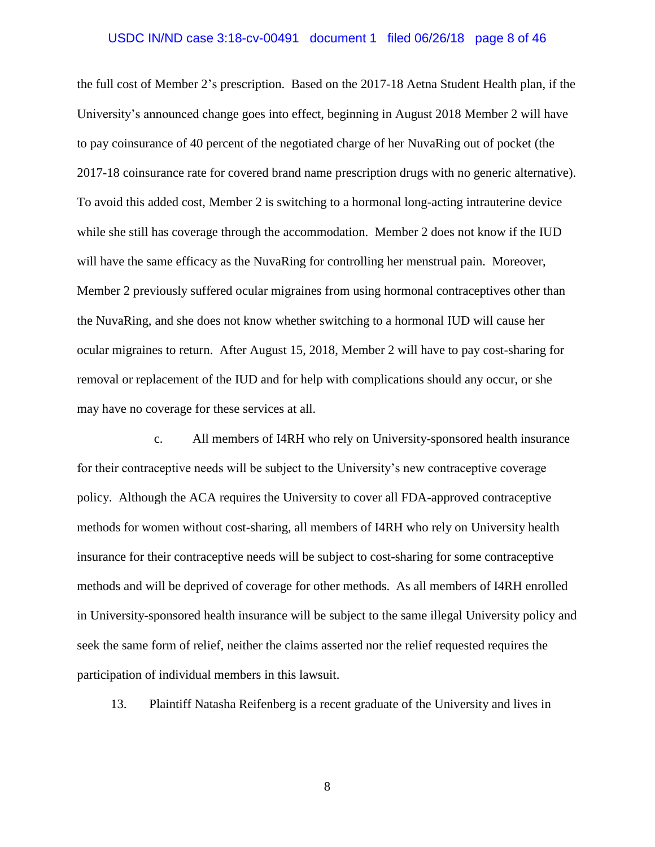### USDC IN/ND case 3:18-cv-00491 document 1 filed 06/26/18 page 8 of 46

the full cost of Member 2's prescription. Based on the 2017-18 Aetna Student Health plan, if the University's announced change goes into effect, beginning in August 2018 Member 2 will have to pay coinsurance of 40 percent of the negotiated charge of her NuvaRing out of pocket (the 2017-18 coinsurance rate for covered brand name prescription drugs with no generic alternative). To avoid this added cost, Member 2 is switching to a hormonal long-acting intrauterine device while she still has coverage through the accommodation. Member 2 does not know if the IUD will have the same efficacy as the NuvaRing for controlling her menstrual pain. Moreover, Member 2 previously suffered ocular migraines from using hormonal contraceptives other than the NuvaRing, and she does not know whether switching to a hormonal IUD will cause her ocular migraines to return. After August 15, 2018, Member 2 will have to pay cost-sharing for removal or replacement of the IUD and for help with complications should any occur, or she may have no coverage for these services at all.

c. All members of I4RH who rely on University-sponsored health insurance for their contraceptive needs will be subject to the University's new contraceptive coverage policy. Although the ACA requires the University to cover all FDA-approved contraceptive methods for women without cost-sharing, all members of I4RH who rely on University health insurance for their contraceptive needs will be subject to cost-sharing for some contraceptive methods and will be deprived of coverage for other methods. As all members of I4RH enrolled in University-sponsored health insurance will be subject to the same illegal University policy and seek the same form of relief, neither the claims asserted nor the relief requested requires the participation of individual members in this lawsuit.

13. Plaintiff Natasha Reifenberg is a recent graduate of the University and lives in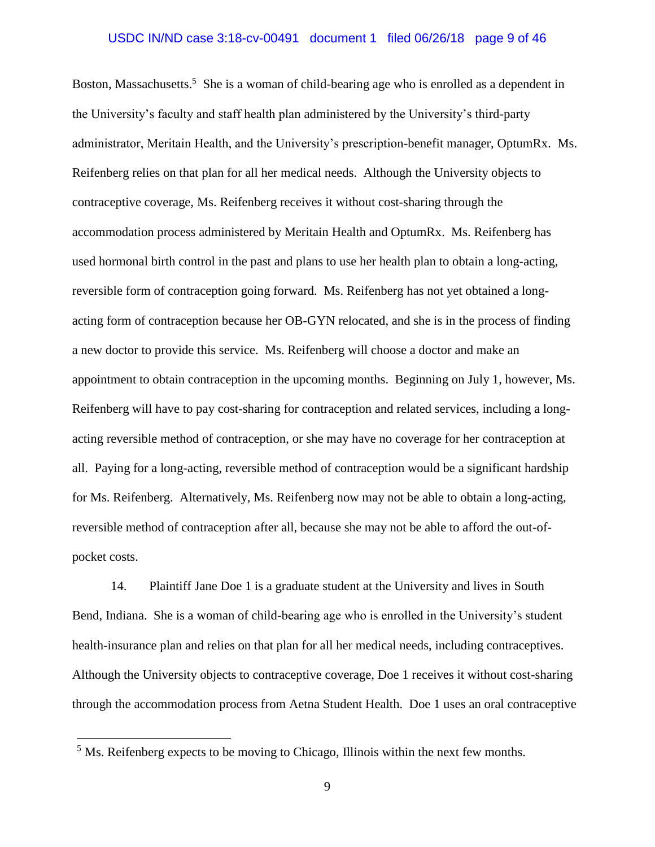## USDC IN/ND case 3:18-cv-00491 document 1 filed 06/26/18 page 9 of 46

Boston, Massachusetts.<sup>5</sup> She is a woman of child-bearing age who is enrolled as a dependent in the University's faculty and staff health plan administered by the University's third-party administrator, Meritain Health, and the University's prescription-benefit manager, OptumRx. Ms. Reifenberg relies on that plan for all her medical needs. Although the University objects to contraceptive coverage, Ms. Reifenberg receives it without cost-sharing through the accommodation process administered by Meritain Health and OptumRx. Ms. Reifenberg has used hormonal birth control in the past and plans to use her health plan to obtain a long-acting, reversible form of contraception going forward. Ms. Reifenberg has not yet obtained a longacting form of contraception because her OB-GYN relocated, and she is in the process of finding a new doctor to provide this service. Ms. Reifenberg will choose a doctor and make an appointment to obtain contraception in the upcoming months. Beginning on July 1, however, Ms. Reifenberg will have to pay cost-sharing for contraception and related services, including a longacting reversible method of contraception, or she may have no coverage for her contraception at all. Paying for a long-acting, reversible method of contraception would be a significant hardship for Ms. Reifenberg. Alternatively, Ms. Reifenberg now may not be able to obtain a long-acting, reversible method of contraception after all, because she may not be able to afford the out-ofpocket costs.

14. Plaintiff Jane Doe 1 is a graduate student at the University and lives in South Bend, Indiana. She is a woman of child-bearing age who is enrolled in the University's student health-insurance plan and relies on that plan for all her medical needs, including contraceptives. Although the University objects to contraceptive coverage, Doe 1 receives it without cost-sharing through the accommodation process from Aetna Student Health. Doe 1 uses an oral contraceptive

<sup>&</sup>lt;sup>5</sup> Ms. Reifenberg expects to be moving to Chicago, Illinois within the next few months.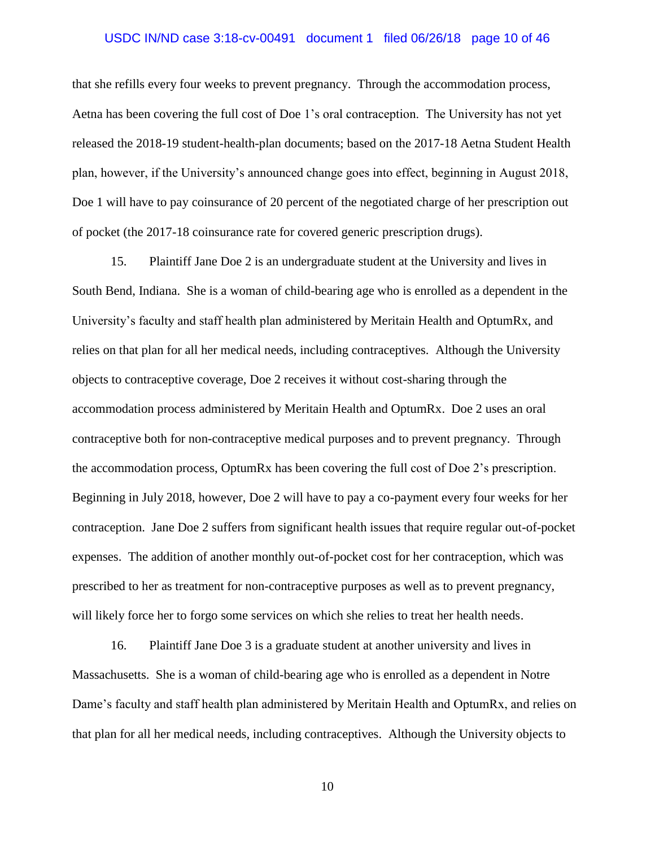## USDC IN/ND case 3:18-cv-00491 document 1 filed 06/26/18 page 10 of 46

that she refills every four weeks to prevent pregnancy. Through the accommodation process, Aetna has been covering the full cost of Doe 1's oral contraception. The University has not yet released the 2018-19 student-health-plan documents; based on the 2017-18 Aetna Student Health plan, however, if the University's announced change goes into effect, beginning in August 2018, Doe 1 will have to pay coinsurance of 20 percent of the negotiated charge of her prescription out of pocket (the 2017-18 coinsurance rate for covered generic prescription drugs).

15. Plaintiff Jane Doe 2 is an undergraduate student at the University and lives in South Bend, Indiana. She is a woman of child-bearing age who is enrolled as a dependent in the University's faculty and staff health plan administered by Meritain Health and OptumRx, and relies on that plan for all her medical needs, including contraceptives. Although the University objects to contraceptive coverage, Doe 2 receives it without cost-sharing through the accommodation process administered by Meritain Health and OptumRx. Doe 2 uses an oral contraceptive both for non-contraceptive medical purposes and to prevent pregnancy. Through the accommodation process, OptumRx has been covering the full cost of Doe 2's prescription. Beginning in July 2018, however, Doe 2 will have to pay a co-payment every four weeks for her contraception. Jane Doe 2 suffers from significant health issues that require regular out-of-pocket expenses. The addition of another monthly out-of-pocket cost for her contraception, which was prescribed to her as treatment for non-contraceptive purposes as well as to prevent pregnancy, will likely force her to forgo some services on which she relies to treat her health needs.

16. Plaintiff Jane Doe 3 is a graduate student at another university and lives in Massachusetts. She is a woman of child-bearing age who is enrolled as a dependent in Notre Dame's faculty and staff health plan administered by Meritain Health and OptumRx, and relies on that plan for all her medical needs, including contraceptives. Although the University objects to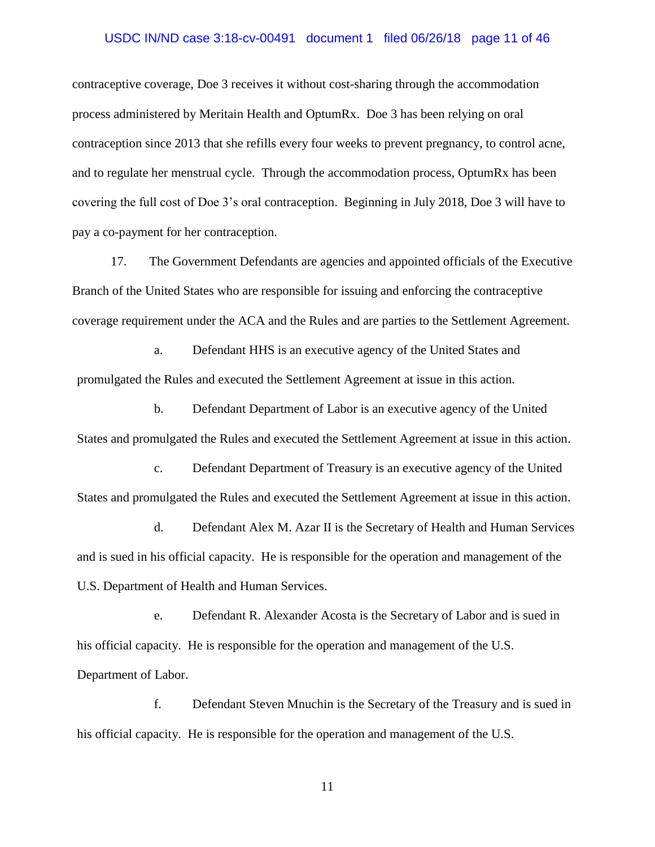#### USDC IN/ND case 3:18-cv-00491 document 1 filed 06/26/18 page 11 of 46

contraceptive coverage, Doe 3 receives it without cost-sharing through the accommodation process administered by Meritain Health and OptumRx. Doe 3 has been relying on oral contraception since 2013 that she refills every four weeks to prevent pregnancy, to control acne, and to regulate her menstrual cycle. Through the accommodation process, OptumRx has been covering the full cost of Doe 3's oral contraception. Beginning in July 2018, Doe 3 will have to pay a co-payment for her contraception.

17. The Government Defendants are agencies and appointed officials of the Executive Branch of the United States who are responsible for issuing and enforcing the contraceptive coverage requirement under the ACA and the Rules and are parties to the Settlement Agreement.

a. Defendant HHS is an executive agency of the United States and promulgated the Rules and executed the Settlement Agreement at issue in this action.

b. Defendant Department of Labor is an executive agency of the United States and promulgated the Rules and executed the Settlement Agreement at issue in this action.

c. Defendant Department of Treasury is an executive agency of the United States and promulgated the Rules and executed the Settlement Agreement at issue in this action.

d. Defendant Alex M. Azar II is the Secretary of Health and Human Services and is sued in his official capacity. He is responsible for the operation and management of the U.S. Department of Health and Human Services.

e. Defendant R. Alexander Acosta is the Secretary of Labor and is sued in his official capacity. He is responsible for the operation and management of the U.S. Department of Labor.

f. Defendant Steven Mnuchin is the Secretary of the Treasury and is sued in his official capacity. He is responsible for the operation and management of the U.S.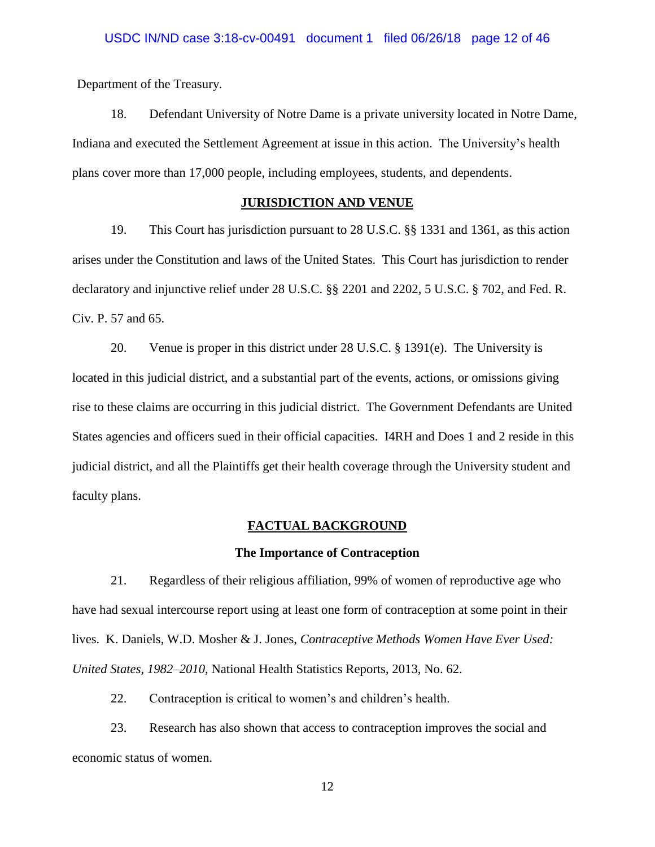Department of the Treasury.

18. Defendant University of Notre Dame is a private university located in Notre Dame, Indiana and executed the Settlement Agreement at issue in this action. The University's health plans cover more than 17,000 people, including employees, students, and dependents.

# **JURISDICTION AND VENUE**

19. This Court has jurisdiction pursuant to 28 U.S.C. §§ 1331 and 1361, as this action arises under the Constitution and laws of the United States. This Court has jurisdiction to render declaratory and injunctive relief under 28 U.S.C. §§ 2201 and 2202, 5 U.S.C. § 702, and Fed. R. Civ. P. 57 and 65.

20. Venue is proper in this district under 28 U.S.C. § 1391(e). The University is located in this judicial district, and a substantial part of the events, actions, or omissions giving rise to these claims are occurring in this judicial district. The Government Defendants are United States agencies and officers sued in their official capacities. I4RH and Does 1 and 2 reside in this judicial district, and all the Plaintiffs get their health coverage through the University student and faculty plans.

### **FACTUAL BACKGROUND**

### **The Importance of Contraception**

21. Regardless of their religious affiliation, 99% of women of reproductive age who have had sexual intercourse report using at least one form of contraception at some point in their lives. K. Daniels, W.D. Mosher & J. Jones, *Contraceptive Methods Women Have Ever Used: United States, 1982–2010*, National Health Statistics Reports, 2013, No. 62.

22. Contraception is critical to women's and children's health.

23. Research has also shown that access to contraception improves the social and economic status of women.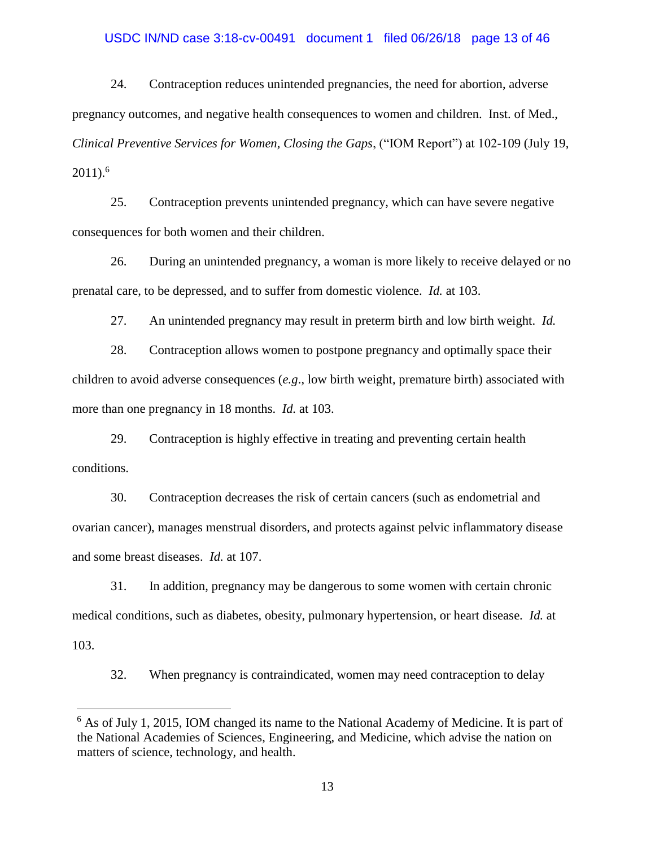## USDC IN/ND case 3:18-cv-00491 document 1 filed 06/26/18 page 13 of 46

24. Contraception reduces unintended pregnancies, the need for abortion, adverse pregnancy outcomes, and negative health consequences to women and children. Inst. of Med., *Clinical Preventive Services for Women, Closing the Gaps*, ("IOM Report") at 102-109 (July 19,  $2011$ ).<sup>6</sup>

25. Contraception prevents unintended pregnancy, which can have severe negative consequences for both women and their children.

26. During an unintended pregnancy, a woman is more likely to receive delayed or no prenatal care, to be depressed, and to suffer from domestic violence. *Id.* at 103.

27. An unintended pregnancy may result in preterm birth and low birth weight. *Id.*

28. Contraception allows women to postpone pregnancy and optimally space their children to avoid adverse consequences (*e.g*., low birth weight, premature birth) associated with more than one pregnancy in 18 months. *Id.* at 103.

29. Contraception is highly effective in treating and preventing certain health conditions.

30. Contraception decreases the risk of certain cancers (such as endometrial and ovarian cancer), manages menstrual disorders, and protects against pelvic inflammatory disease and some breast diseases. *Id.* at 107.

31. In addition, pregnancy may be dangerous to some women with certain chronic medical conditions, such as diabetes, obesity, pulmonary hypertension, or heart disease. *Id.* at 103.

32. When pregnancy is contraindicated, women may need contraception to delay

<sup>&</sup>lt;sup>6</sup> As of July 1, 2015, IOM changed its name to the National Academy of Medicine. It is part of the National Academies of Sciences, Engineering, and Medicine, which advise the nation on matters of science, technology, and health.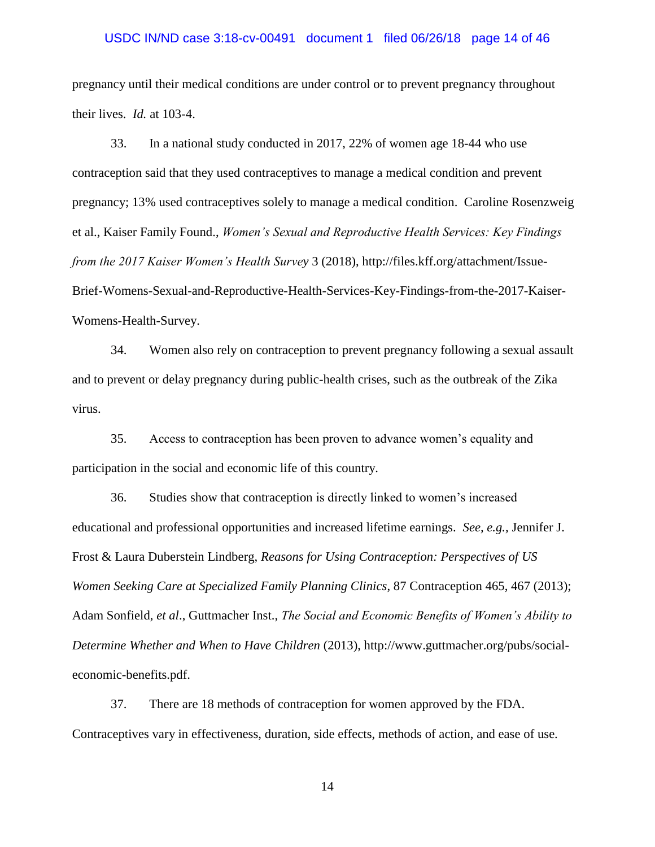### USDC IN/ND case 3:18-cv-00491 document 1 filed 06/26/18 page 14 of 46

pregnancy until their medical conditions are under control or to prevent pregnancy throughout their lives. *Id.* at 103-4.

33. In a national study conducted in 2017, 22% of women age 18-44 who use contraception said that they used contraceptives to manage a medical condition and prevent pregnancy; 13% used contraceptives solely to manage a medical condition. Caroline Rosenzweig et al., Kaiser Family Found., *Women's Sexual and Reproductive Health Services: Key Findings from the 2017 Kaiser Women's Health Survey* 3 (2018), http://files.kff.org/attachment/Issue-Brief-Womens-Sexual-and-Reproductive-Health-Services-Key-Findings-from-the-2017-Kaiser-Womens-Health-Survey.

34. Women also rely on contraception to prevent pregnancy following a sexual assault and to prevent or delay pregnancy during public-health crises, such as the outbreak of the Zika virus.

35. Access to contraception has been proven to advance women's equality and participation in the social and economic life of this country.

36. Studies show that contraception is directly linked to women's increased educational and professional opportunities and increased lifetime earnings. *See, e.g.,* Jennifer J. Frost & Laura Duberstein Lindberg, *Reasons for Using Contraception: Perspectives of US Women Seeking Care at Specialized Family Planning Clinics*, 87 Contraception 465, 467 (2013); Adam Sonfield, *et al*., Guttmacher Inst., *The Social and Economic Benefits of Women's Ability to Determine Whether and When to Have Children* (2013), http://www.guttmacher.org/pubs/socialeconomic-benefits.pdf.

37. There are 18 methods of contraception for women approved by the FDA. Contraceptives vary in effectiveness, duration, side effects, methods of action, and ease of use.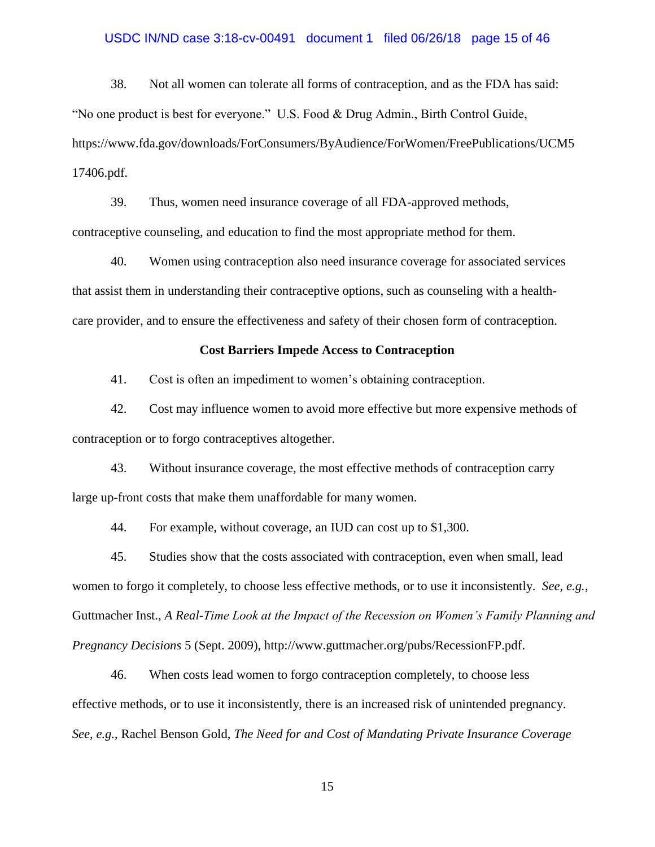#### USDC IN/ND case 3:18-cv-00491 document 1 filed 06/26/18 page 15 of 46

38. Not all women can tolerate all forms of contraception, and as the FDA has said: "No one product is best for everyone." U.S. Food & Drug Admin., Birth Control Guide, https://www.fda.gov/downloads/ForConsumers/ByAudience/ForWomen/FreePublications/UCM5 17406.pdf.

39. Thus, women need insurance coverage of all FDA-approved methods, contraceptive counseling, and education to find the most appropriate method for them.

40. Women using contraception also need insurance coverage for associated services that assist them in understanding their contraceptive options, such as counseling with a healthcare provider, and to ensure the effectiveness and safety of their chosen form of contraception.

### **Cost Barriers Impede Access to Contraception**

41. Cost is often an impediment to women's obtaining contraception.

42. Cost may influence women to avoid more effective but more expensive methods of contraception or to forgo contraceptives altogether.

43. Without insurance coverage, the most effective methods of contraception carry large up-front costs that make them unaffordable for many women.

44. For example, without coverage, an IUD can cost up to \$1,300.

45. Studies show that the costs associated with contraception, even when small, lead women to forgo it completely, to choose less effective methods, or to use it inconsistently. *See, e.g.*, Guttmacher Inst., *A Real-Time Look at the Impact of the Recession on Women's Family Planning and Pregnancy Decisions* 5 (Sept. 2009), http://www.guttmacher.org/pubs/RecessionFP.pdf.

46. When costs lead women to forgo contraception completely, to choose less effective methods, or to use it inconsistently, there is an increased risk of unintended pregnancy. *See, e.g.*, Rachel Benson Gold, *The Need for and Cost of Mandating Private Insurance Coverage*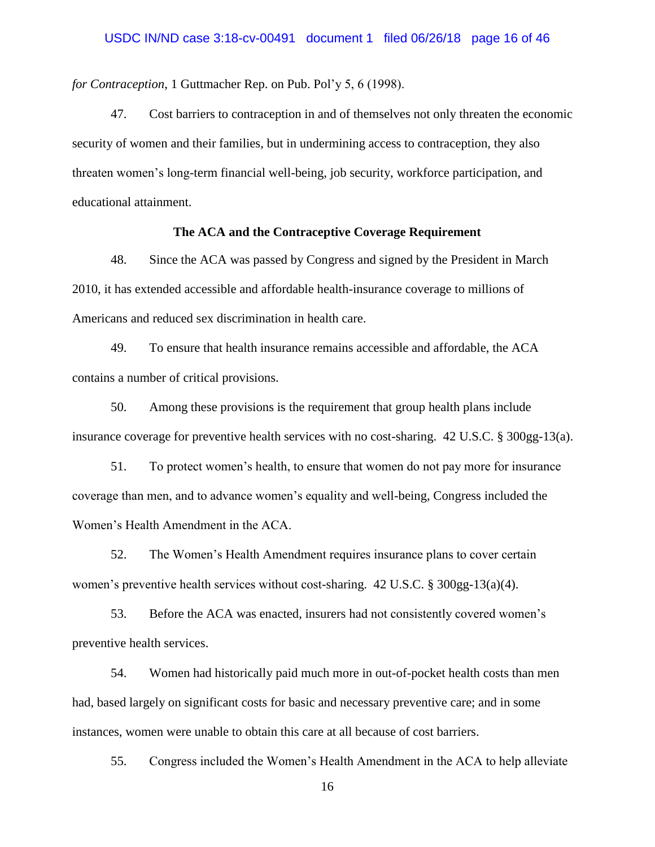*for Contraception*, 1 Guttmacher Rep. on Pub. Pol'y 5, 6 (1998).

47. Cost barriers to contraception in and of themselves not only threaten the economic security of women and their families, but in undermining access to contraception, they also threaten women's long-term financial well-being, job security, workforce participation, and educational attainment.

# **The ACA and the Contraceptive Coverage Requirement**

48. Since the ACA was passed by Congress and signed by the President in March 2010, it has extended accessible and affordable health-insurance coverage to millions of Americans and reduced sex discrimination in health care.

49. To ensure that health insurance remains accessible and affordable, the ACA contains a number of critical provisions.

50. Among these provisions is the requirement that group health plans include insurance coverage for preventive health services with no cost-sharing.  $42 \text{ U.S.C. }$  §  $300 \text{gg-}13(a)$ .

51. To protect women's health, to ensure that women do not pay more for insurance coverage than men, and to advance women's equality and well-being, Congress included the Women's Health Amendment in the ACA.

52. The Women's Health Amendment requires insurance plans to cover certain women's preventive health services without cost-sharing.  $42 \text{ U.S.C.}$  §  $300 \text{gg-}13(a)(4)$ .

53. Before the ACA was enacted, insurers had not consistently covered women's preventive health services.

54. Women had historically paid much more in out-of-pocket health costs than men had, based largely on significant costs for basic and necessary preventive care; and in some instances, women were unable to obtain this care at all because of cost barriers.

55. Congress included the Women's Health Amendment in the ACA to help alleviate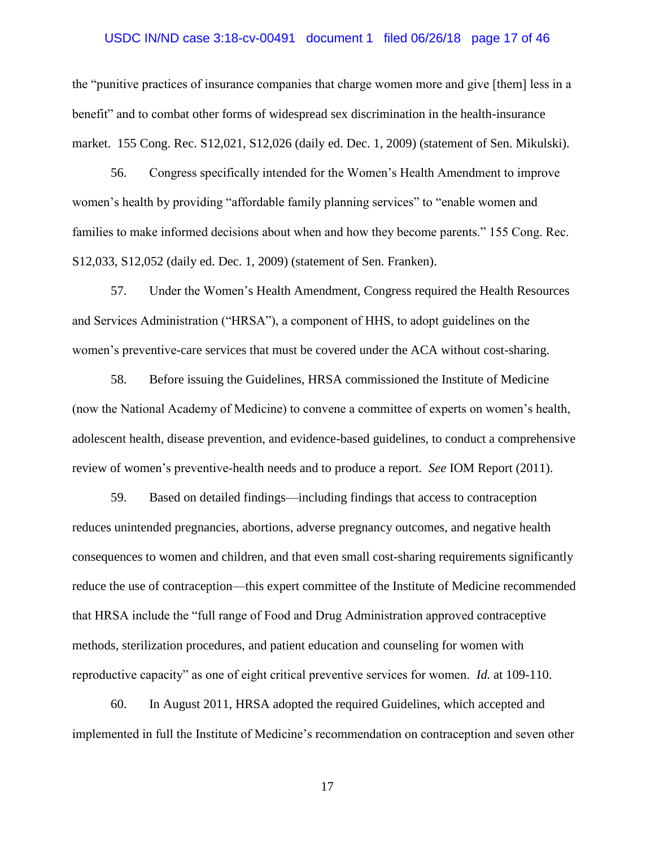### USDC IN/ND case 3:18-cv-00491 document 1 filed 06/26/18 page 17 of 46

the "punitive practices of insurance companies that charge women more and give [them] less in a benefit" and to combat other forms of widespread sex discrimination in the health-insurance market. 155 Cong. Rec. S12,021, S12,026 (daily ed. Dec. 1, 2009) (statement of Sen. Mikulski).

56. Congress specifically intended for the Women's Health Amendment to improve women's health by providing "affordable family planning services" to "enable women and families to make informed decisions about when and how they become parents." 155 Cong. Rec. S12,033, S12,052 (daily ed. Dec. 1, 2009) (statement of Sen. Franken).

57. Under the Women's Health Amendment, Congress required the Health Resources and Services Administration ("HRSA"), a component of HHS, to adopt guidelines on the women's preventive-care services that must be covered under the ACA without cost-sharing.

58. Before issuing the Guidelines, HRSA commissioned the Institute of Medicine (now the National Academy of Medicine) to convene a committee of experts on women's health, adolescent health, disease prevention, and evidence-based guidelines, to conduct a comprehensive review of women's preventive-health needs and to produce a report. *See* IOM Report (2011).

59. Based on detailed findings—including findings that access to contraception reduces unintended pregnancies, abortions, adverse pregnancy outcomes, and negative health consequences to women and children, and that even small cost-sharing requirements significantly reduce the use of contraception—this expert committee of the Institute of Medicine recommended that HRSA include the "full range of Food and Drug Administration approved contraceptive methods, sterilization procedures, and patient education and counseling for women with reproductive capacity" as one of eight critical preventive services for women. *Id.* at 109-110.

60. In August 2011, HRSA adopted the required Guidelines, which accepted and implemented in full the Institute of Medicine's recommendation on contraception and seven other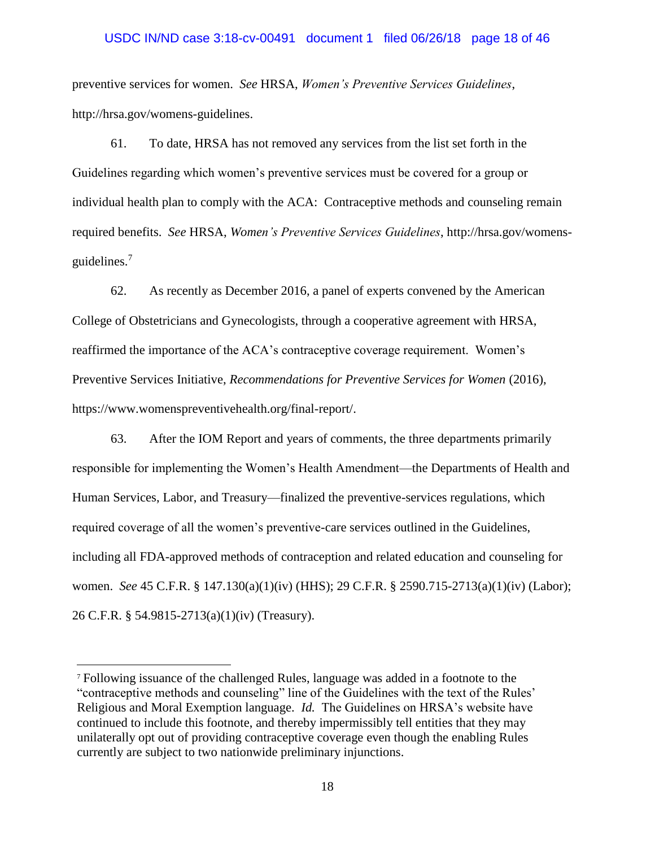### USDC IN/ND case 3:18-cv-00491 document 1 filed 06/26/18 page 18 of 46

preventive services for women. *See* HRSA, *Women's Preventive Services Guidelines*, http://hrsa.gov/womens-guidelines.

61. To date, HRSA has not removed any services from the list set forth in the Guidelines regarding which women's preventive services must be covered for a group or individual health plan to comply with the ACA: Contraceptive methods and counseling remain required benefits. *See* HRSA, *Women's Preventive Services Guidelines*, http://hrsa.gov/womensguidelines.<sup>7</sup>

62. As recently as December 2016, a panel of experts convened by the American College of Obstetricians and Gynecologists, through a cooperative agreement with HRSA, reaffirmed the importance of the ACA's contraceptive coverage requirement. Women's Preventive Services Initiative, *Recommendations for Preventive Services for Women* (2016), https://www.womenspreventivehealth.org/final-report/.

63. After the IOM Report and years of comments, the three departments primarily responsible for implementing the Women's Health Amendment—the Departments of Health and Human Services, Labor, and Treasury—finalized the preventive-services regulations, which required coverage of all the women's preventive-care services outlined in the Guidelines, including all FDA-approved methods of contraception and related education and counseling for women. *See* 45 C.F.R. § 147.130(a)(1)(iv) (HHS); 29 C.F.R. § 2590.715-2713(a)(1)(iv) (Labor); 26 C.F.R. § 54.9815-2713(a)(1)(iv) (Treasury).

<sup>7</sup> Following issuance of the challenged Rules, language was added in a footnote to the "contraceptive methods and counseling" line of the Guidelines with the text of the Rules' Religious and Moral Exemption language. *Id.* The Guidelines on HRSA's website have continued to include this footnote, and thereby impermissibly tell entities that they may unilaterally opt out of providing contraceptive coverage even though the enabling Rules currently are subject to two nationwide preliminary injunctions.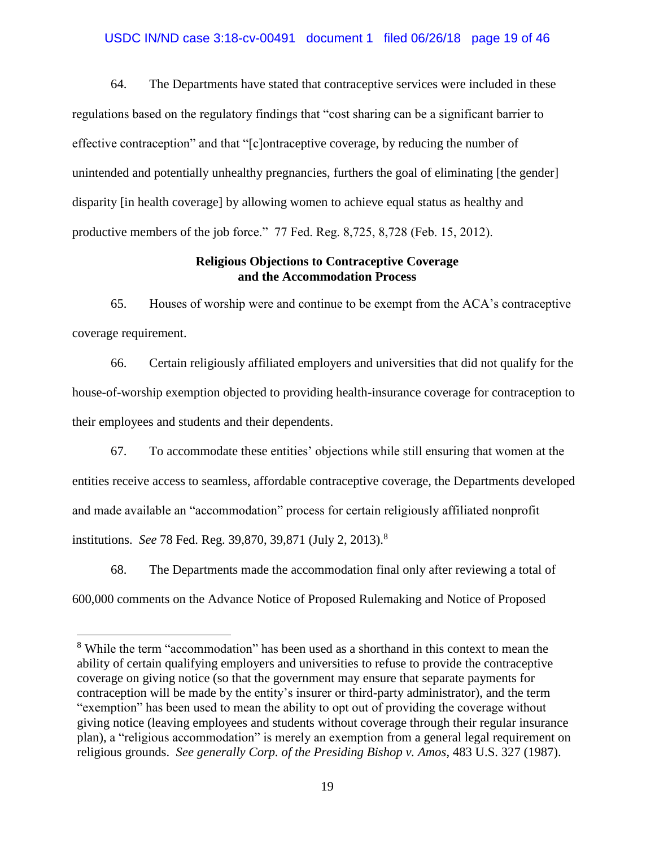### USDC IN/ND case 3:18-cv-00491 document 1 filed 06/26/18 page 19 of 46

64. The Departments have stated that contraceptive services were included in these regulations based on the regulatory findings that "cost sharing can be a significant barrier to effective contraception" and that "[c]ontraceptive coverage, by reducing the number of unintended and potentially unhealthy pregnancies, furthers the goal of eliminating [the gender] disparity [in health coverage] by allowing women to achieve equal status as healthy and productive members of the job force." 77 Fed. Reg. 8,725, 8,728 (Feb. 15, 2012).

# **Religious Objections to Contraceptive Coverage and the Accommodation Process**

65. Houses of worship were and continue to be exempt from the ACA's contraceptive coverage requirement.

66. Certain religiously affiliated employers and universities that did not qualify for the house-of-worship exemption objected to providing health-insurance coverage for contraception to their employees and students and their dependents.

67. To accommodate these entities' objections while still ensuring that women at the entities receive access to seamless, affordable contraceptive coverage, the Departments developed and made available an "accommodation" process for certain religiously affiliated nonprofit institutions. *See* 78 Fed. Reg. 39,870, 39,871 (July 2, 2013).<sup>8</sup>

68. The Departments made the accommodation final only after reviewing a total of 600,000 comments on the Advance Notice of Proposed Rulemaking and Notice of Proposed

<sup>&</sup>lt;sup>8</sup> While the term "accommodation" has been used as a shorthand in this context to mean the ability of certain qualifying employers and universities to refuse to provide the contraceptive coverage on giving notice (so that the government may ensure that separate payments for contraception will be made by the entity's insurer or third-party administrator), and the term "exemption" has been used to mean the ability to opt out of providing the coverage without giving notice (leaving employees and students without coverage through their regular insurance plan), a "religious accommodation" is merely an exemption from a general legal requirement on religious grounds. *See generally Corp. of the Presiding Bishop v. Amos*, 483 U.S. 327 (1987).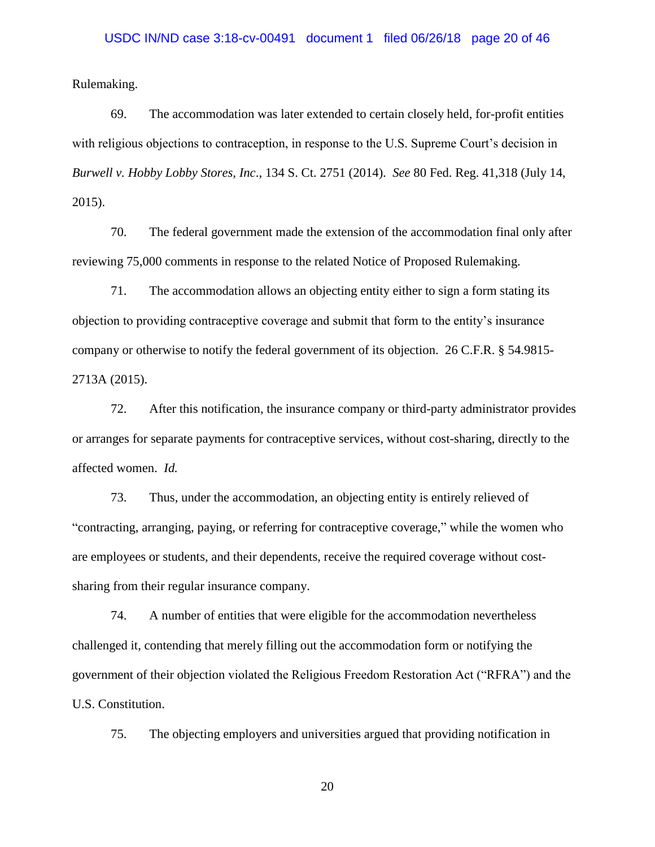### USDC IN/ND case 3:18-cv-00491 document 1 filed 06/26/18 page 20 of 46

Rulemaking.

69. The accommodation was later extended to certain closely held, for-profit entities with religious objections to contraception, in response to the U.S. Supreme Court's decision in *Burwell v. Hobby Lobby Stores, Inc*., 134 S. Ct. 2751 (2014). *See* 80 Fed. Reg. 41,318 (July 14, 2015).

70. The federal government made the extension of the accommodation final only after reviewing 75,000 comments in response to the related Notice of Proposed Rulemaking.

71. The accommodation allows an objecting entity either to sign a form stating its objection to providing contraceptive coverage and submit that form to the entity's insurance company or otherwise to notify the federal government of its objection. 26 C.F.R. § 54.9815- 2713A (2015).

72. After this notification, the insurance company or third-party administrator provides or arranges for separate payments for contraceptive services, without cost-sharing, directly to the affected women. *Id.*

73. Thus, under the accommodation, an objecting entity is entirely relieved of "contracting, arranging, paying, or referring for contraceptive coverage," while the women who are employees or students, and their dependents, receive the required coverage without costsharing from their regular insurance company.

74. A number of entities that were eligible for the accommodation nevertheless challenged it, contending that merely filling out the accommodation form or notifying the government of their objection violated the Religious Freedom Restoration Act ("RFRA") and the U.S. Constitution.

75. The objecting employers and universities argued that providing notification in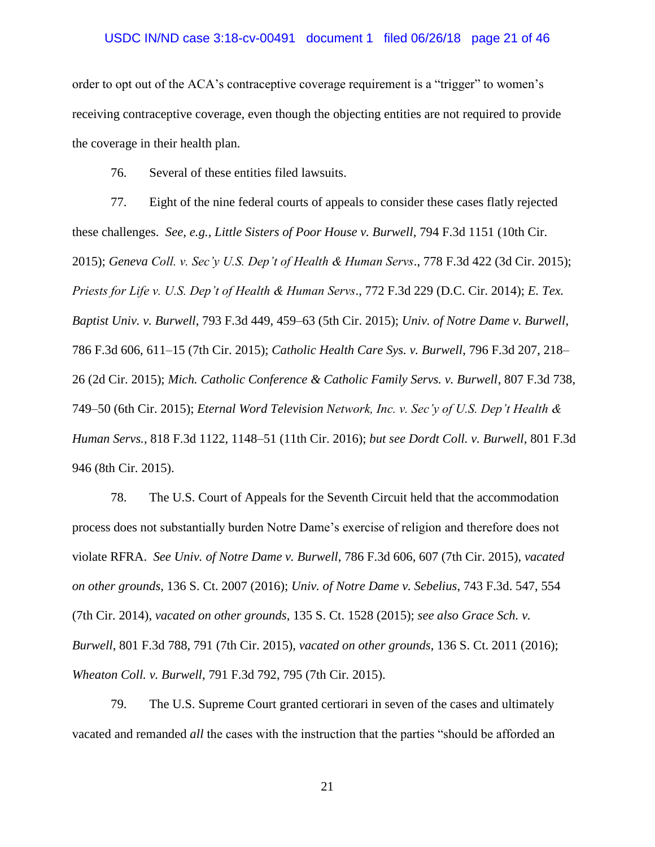#### USDC IN/ND case 3:18-cv-00491 document 1 filed 06/26/18 page 21 of 46

order to opt out of the ACA's contraceptive coverage requirement is a "trigger" to women's receiving contraceptive coverage, even though the objecting entities are not required to provide the coverage in their health plan.

76. Several of these entities filed lawsuits.

77. Eight of the nine federal courts of appeals to consider these cases flatly rejected these challenges. *See, e.g., Little Sisters of Poor House v. Burwell*, 794 F.3d 1151 (10th Cir. 2015); *Geneva Coll. v. Sec'y U.S. Dep't of Health & Human Servs*., 778 F.3d 422 (3d Cir. 2015); *Priests for Life v. U.S. Dep't of Health & Human Servs*., 772 F.3d 229 (D.C. Cir. 2014); *E. Tex. Baptist Univ. v. Burwell*, 793 F.3d 449, 459–63 (5th Cir. 2015); *Univ. of Notre Dame v. Burwell*, 786 F.3d 606, 611–15 (7th Cir. 2015); *Catholic Health Care Sys. v. Burwell*, 796 F.3d 207, 218– 26 (2d Cir. 2015); *Mich. Catholic Conference & Catholic Family Servs. v. Burwell*, 807 F.3d 738, 749–50 (6th Cir. 2015); *Eternal Word Television Network, Inc. v. Sec'y of U.S. Dep't Health & Human Servs.*, 818 F.3d 1122, 1148–51 (11th Cir. 2016); *but see Dordt Coll. v. Burwell*, 801 F.3d 946 (8th Cir. 2015).

78. The U.S. Court of Appeals for the Seventh Circuit held that the accommodation process does not substantially burden Notre Dame's exercise of religion and therefore does not violate RFRA. *See Univ. of Notre Dame v. Burwell*, 786 F.3d 606, 607 (7th Cir. 2015), *vacated on other grounds*, 136 S. Ct. 2007 (2016); *Univ. of Notre Dame v. Sebelius*, 743 F.3d. 547, 554 (7th Cir. 2014), *vacated on other grounds*, 135 S. Ct. 1528 (2015); *see also Grace Sch. v. Burwell*, 801 F.3d 788, 791 (7th Cir. 2015), *vacated on other grounds*, 136 S. Ct. 2011 (2016); *Wheaton Coll. v. Burwell*, 791 F.3d 792, 795 (7th Cir. 2015).

79. The U.S. Supreme Court granted certiorari in seven of the cases and ultimately vacated and remanded *all* the cases with the instruction that the parties "should be afforded an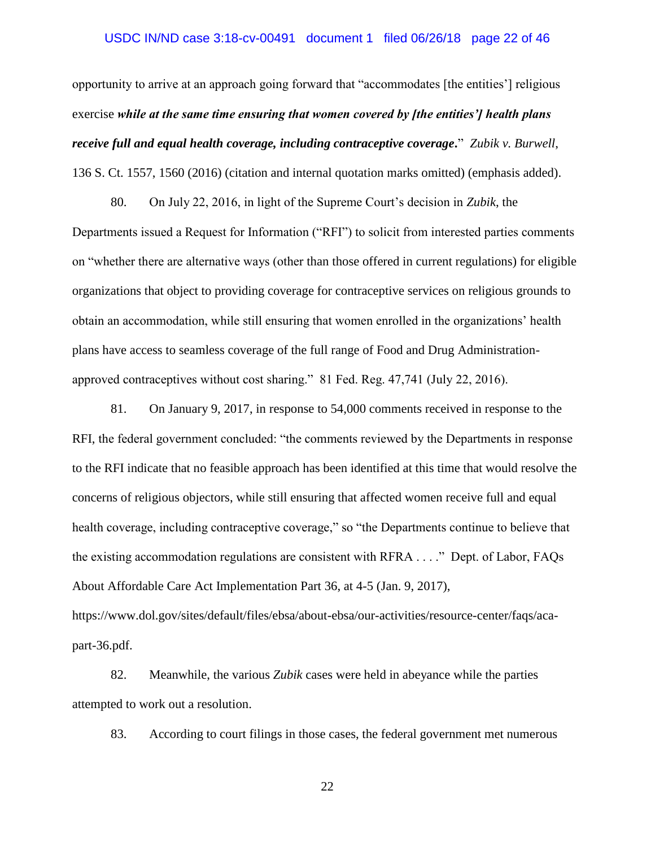## USDC IN/ND case 3:18-cv-00491 document 1 filed 06/26/18 page 22 of 46

opportunity to arrive at an approach going forward that "accommodates [the entities'] religious exercise *while at the same time ensuring that women covered by [the entities'] health plans receive full and equal health coverage, including contraceptive coverage***.**" *Zubik v. Burwell*, 136 S. Ct. 1557, 1560 (2016) (citation and internal quotation marks omitted) (emphasis added).

80. On July 22, 2016, in light of the Supreme Court's decision in *Zubik*, the Departments issued a Request for Information ("RFI") to solicit from interested parties comments on "whether there are alternative ways (other than those offered in current regulations) for eligible organizations that object to providing coverage for contraceptive services on religious grounds to obtain an accommodation, while still ensuring that women enrolled in the organizations' health plans have access to seamless coverage of the full range of Food and Drug Administrationapproved contraceptives without cost sharing." 81 Fed. Reg. 47,741 (July 22, 2016).

81. On January 9, 2017, in response to 54,000 comments received in response to the RFI, the federal government concluded: "the comments reviewed by the Departments in response to the RFI indicate that no feasible approach has been identified at this time that would resolve the concerns of religious objectors, while still ensuring that affected women receive full and equal health coverage, including contraceptive coverage," so "the Departments continue to believe that the existing accommodation regulations are consistent with RFRA . . . ." Dept. of Labor, FAQs About Affordable Care Act Implementation Part 36, at 4-5 (Jan. 9, 2017), https://www.dol.gov/sites/default/files/ebsa/about-ebsa/our-activities/resource-center/faqs/aca-

part-36.pdf.

82. Meanwhile, the various *Zubik* cases were held in abeyance while the parties attempted to work out a resolution.

83. According to court filings in those cases, the federal government met numerous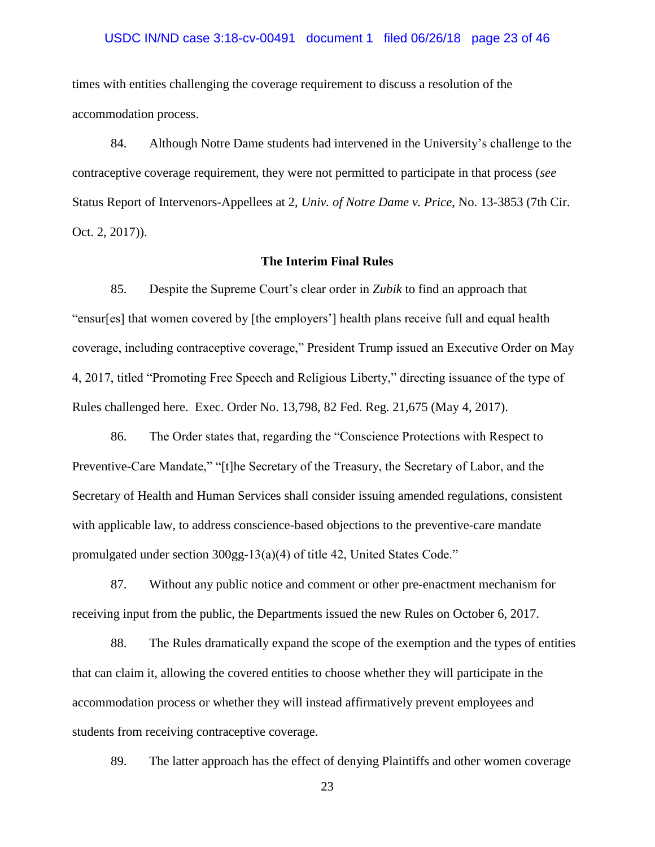#### USDC IN/ND case 3:18-cv-00491 document 1 filed 06/26/18 page 23 of 46

times with entities challenging the coverage requirement to discuss a resolution of the accommodation process.

84. Although Notre Dame students had intervened in the University's challenge to the contraceptive coverage requirement, they were not permitted to participate in that process (*see*  Status Report of Intervenors-Appellees at 2, *Univ. of Notre Dame v. Price*, No. 13-3853 (7th Cir. Oct. 2, 2017)).

### **The Interim Final Rules**

85. Despite the Supreme Court's clear order in *Zubik* to find an approach that "ensur[es] that women covered by [the employers'] health plans receive full and equal health coverage, including contraceptive coverage," President Trump issued an Executive Order on May 4, 2017, titled "Promoting Free Speech and Religious Liberty," directing issuance of the type of Rules challenged here. Exec. Order No. 13,798, 82 Fed. Reg. 21,675 (May 4, 2017).

86. The Order states that, regarding the "Conscience Protections with Respect to Preventive-Care Mandate," "[t]he Secretary of the Treasury, the Secretary of Labor, and the Secretary of Health and Human Services shall consider issuing amended regulations, consistent with applicable law, to address conscience-based objections to the preventive-care mandate promulgated under section 300gg-13(a)(4) of title 42, United States Code."

87. Without any public notice and comment or other pre-enactment mechanism for receiving input from the public, the Departments issued the new Rules on October 6, 2017.

88. The Rules dramatically expand the scope of the exemption and the types of entities that can claim it, allowing the covered entities to choose whether they will participate in the accommodation process or whether they will instead affirmatively prevent employees and students from receiving contraceptive coverage.

89. The latter approach has the effect of denying Plaintiffs and other women coverage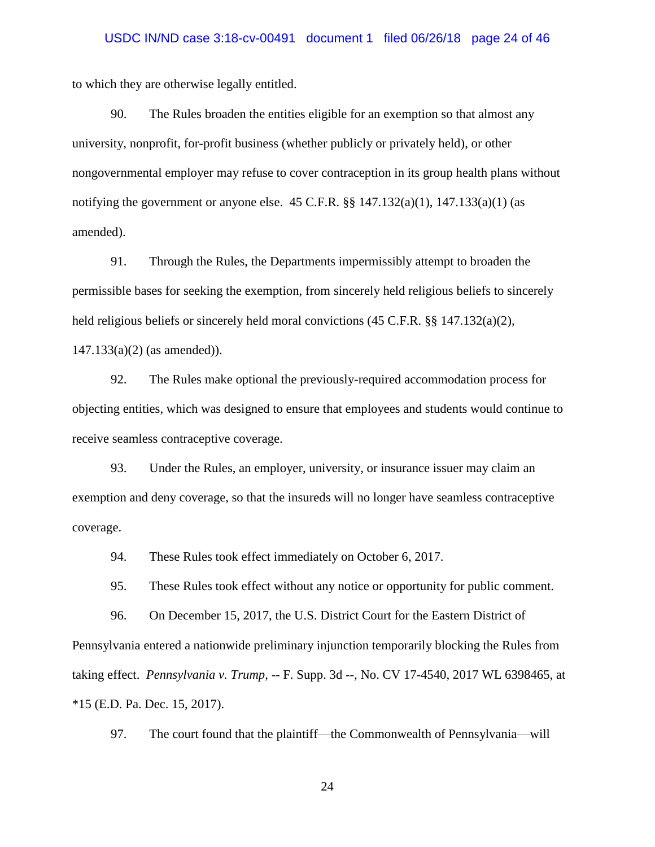to which they are otherwise legally entitled.

90. The Rules broaden the entities eligible for an exemption so that almost any university, nonprofit, for-profit business (whether publicly or privately held), or other nongovernmental employer may refuse to cover contraception in its group health plans without notifying the government or anyone else.  $45$  C.F.R.  $\S$  $\S$   $147.132(a)(1)$ ,  $147.133(a)(1)$  (as amended).

91. Through the Rules, the Departments impermissibly attempt to broaden the permissible bases for seeking the exemption, from sincerely held religious beliefs to sincerely held religious beliefs or sincerely held moral convictions  $(45 \text{ C.F.R.} \$ §§ 147.132(a)(2), 147.133(a)(2) (as amended)).

92. The Rules make optional the previously-required accommodation process for objecting entities, which was designed to ensure that employees and students would continue to receive seamless contraceptive coverage.

93. Under the Rules, an employer, university, or insurance issuer may claim an exemption and deny coverage, so that the insureds will no longer have seamless contraceptive coverage.

94. These Rules took effect immediately on October 6, 2017.

95. These Rules took effect without any notice or opportunity for public comment.

96. On December 15, 2017, the U.S. District Court for the Eastern District of Pennsylvania entered a nationwide preliminary injunction temporarily blocking the Rules from taking effect. *Pennsylvania v. Trump*, -- F. Supp. 3d --, No. CV 17-4540, 2017 WL 6398465, at \*15 (E.D. Pa. Dec. 15, 2017).

97. The court found that the plaintiff—the Commonwealth of Pennsylvania—will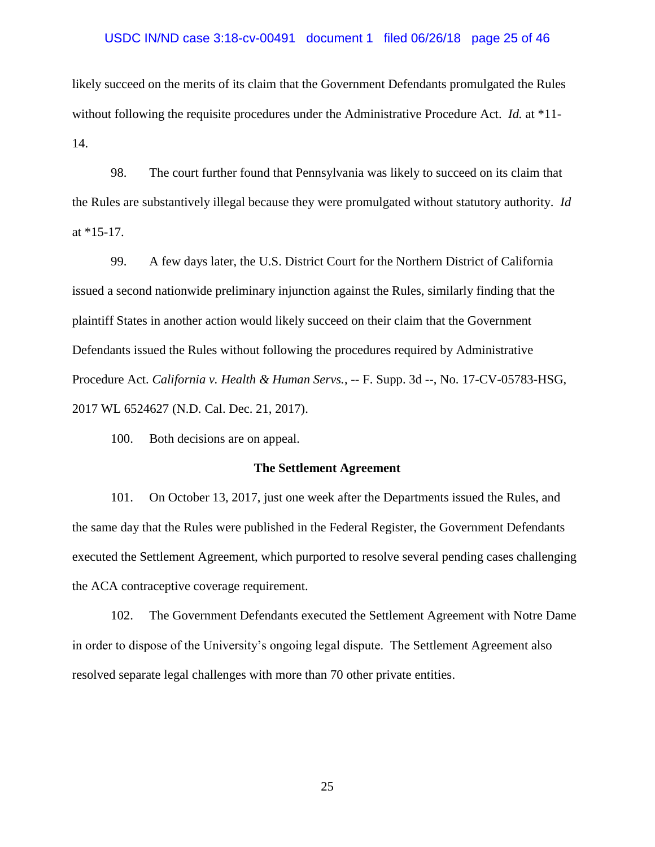#### USDC IN/ND case 3:18-cv-00491 document 1 filed 06/26/18 page 25 of 46

likely succeed on the merits of its claim that the Government Defendants promulgated the Rules without following the requisite procedures under the Administrative Procedure Act. *Id.* at \*11- 14.

98. The court further found that Pennsylvania was likely to succeed on its claim that the Rules are substantively illegal because they were promulgated without statutory authority. *Id*  at  $*15-17$ .

99. A few days later, the U.S. District Court for the Northern District of California issued a second nationwide preliminary injunction against the Rules, similarly finding that the plaintiff States in another action would likely succeed on their claim that the Government Defendants issued the Rules without following the procedures required by Administrative Procedure Act. *California v. Health & Human Servs.*, -- F. Supp. 3d --, No. 17-CV-05783-HSG, 2017 WL 6524627 (N.D. Cal. Dec. 21, 2017).

100. Both decisions are on appeal.

#### **The Settlement Agreement**

101. On October 13, 2017, just one week after the Departments issued the Rules, and the same day that the Rules were published in the Federal Register, the Government Defendants executed the Settlement Agreement, which purported to resolve several pending cases challenging the ACA contraceptive coverage requirement.

102. The Government Defendants executed the Settlement Agreement with Notre Dame in order to dispose of the University's ongoing legal dispute. The Settlement Agreement also resolved separate legal challenges with more than 70 other private entities.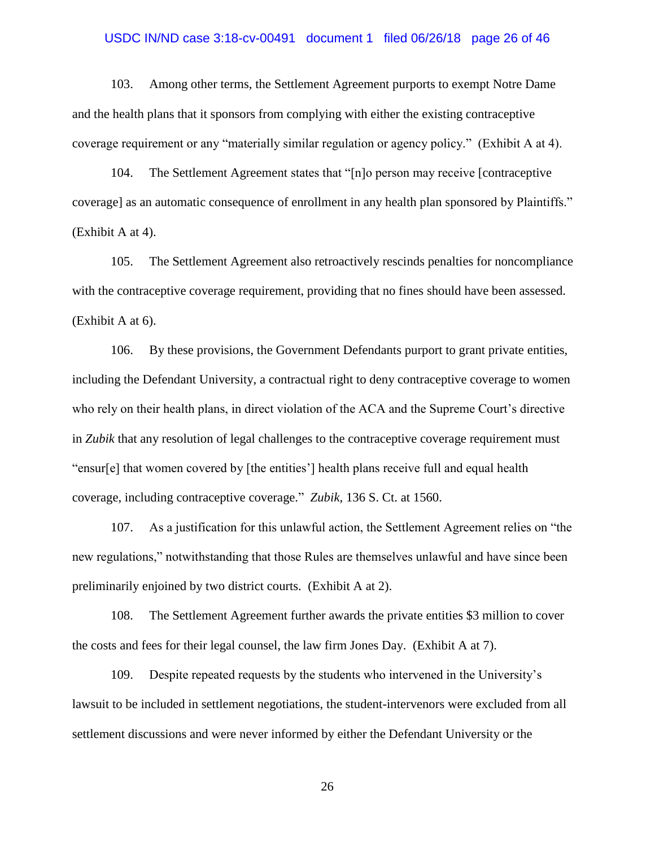### USDC IN/ND case 3:18-cv-00491 document 1 filed 06/26/18 page 26 of 46

103. Among other terms, the Settlement Agreement purports to exempt Notre Dame and the health plans that it sponsors from complying with either the existing contraceptive coverage requirement or any "materially similar regulation or agency policy." (Exhibit A at 4).

104. The Settlement Agreement states that "[n]o person may receive [contraceptive coverage] as an automatic consequence of enrollment in any health plan sponsored by Plaintiffs." (Exhibit A at 4).

105. The Settlement Agreement also retroactively rescinds penalties for noncompliance with the contraceptive coverage requirement, providing that no fines should have been assessed. (Exhibit A at 6).

106. By these provisions, the Government Defendants purport to grant private entities, including the Defendant University, a contractual right to deny contraceptive coverage to women who rely on their health plans, in direct violation of the ACA and the Supreme Court's directive in *Zubik* that any resolution of legal challenges to the contraceptive coverage requirement must "ensur[e] that women covered by [the entities'] health plans receive full and equal health coverage, including contraceptive coverage." *Zubik*, 136 S. Ct. at 1560.

107. As a justification for this unlawful action, the Settlement Agreement relies on "the new regulations," notwithstanding that those Rules are themselves unlawful and have since been preliminarily enjoined by two district courts. (Exhibit A at 2).

108. The Settlement Agreement further awards the private entities \$3 million to cover the costs and fees for their legal counsel, the law firm Jones Day. (Exhibit A at 7).

109. Despite repeated requests by the students who intervened in the University's lawsuit to be included in settlement negotiations, the student-intervenors were excluded from all settlement discussions and were never informed by either the Defendant University or the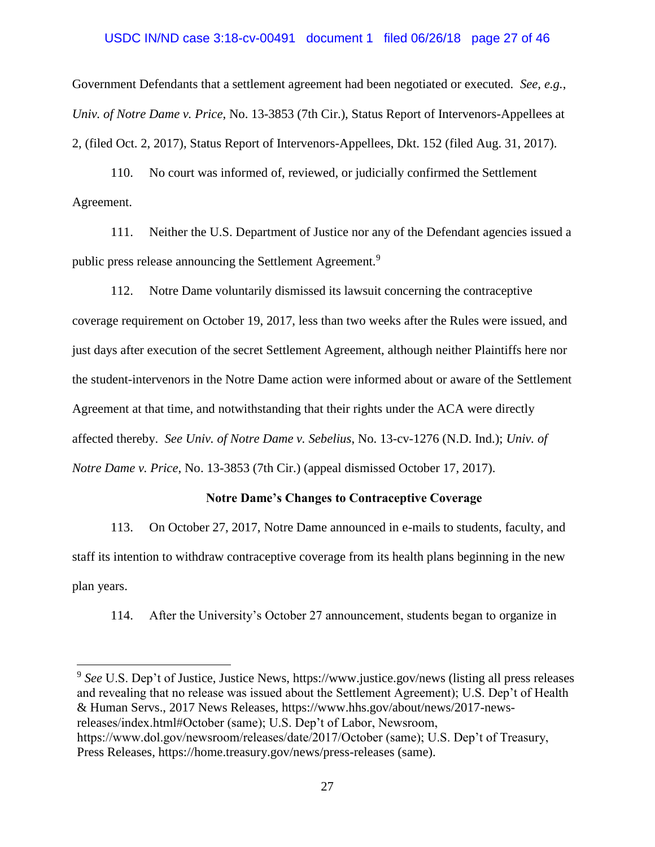## USDC IN/ND case 3:18-cv-00491 document 1 filed 06/26/18 page 27 of 46

Government Defendants that a settlement agreement had been negotiated or executed. *See, e.g.*, *Univ. of Notre Dame v. Price*, No. 13-3853 (7th Cir.), Status Report of Intervenors-Appellees at 2, (filed Oct. 2, 2017), Status Report of Intervenors-Appellees, Dkt. 152 (filed Aug. 31, 2017).

110. No court was informed of, reviewed, or judicially confirmed the Settlement Agreement.

111. Neither the U.S. Department of Justice nor any of the Defendant agencies issued a public press release announcing the Settlement Agreement.<sup>9</sup>

112. Notre Dame voluntarily dismissed its lawsuit concerning the contraceptive coverage requirement on October 19, 2017, less than two weeks after the Rules were issued, and just days after execution of the secret Settlement Agreement, although neither Plaintiffs here nor the student-intervenors in the Notre Dame action were informed about or aware of the Settlement Agreement at that time, and notwithstanding that their rights under the ACA were directly affected thereby. *See Univ. of Notre Dame v. Sebelius*, No. 13-cv-1276 (N.D. Ind.); *Univ. of Notre Dame v. Price*, No. 13-3853 (7th Cir.) (appeal dismissed October 17, 2017).

## **Notre Dame's Changes to Contraceptive Coverage**

113. On October 27, 2017, Notre Dame announced in e-mails to students, faculty, and staff its intention to withdraw contraceptive coverage from its health plans beginning in the new plan years.

114. After the University's October 27 announcement, students began to organize in

<sup>9</sup> See U.S. Dep't of Justice, Justice News, https://www.justice.gov/news (listing all press releases and revealing that no release was issued about the Settlement Agreement); U.S. Dep't of Health & Human Servs., 2017 News Releases, https://www.hhs.gov/about/news/2017-newsreleases/index.html#October (same); U.S. Dep't of Labor, Newsroom, https://www.dol.gov/newsroom/releases/date/2017/October (same); U.S. Dep't of Treasury, Press Releases, https://home.treasury.gov/news/press-releases (same).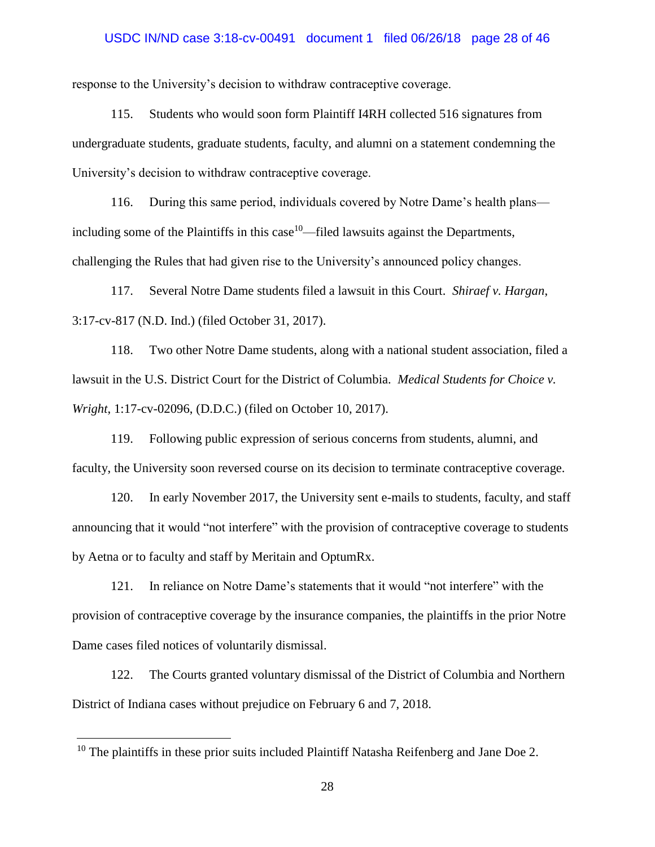### USDC IN/ND case 3:18-cv-00491 document 1 filed 06/26/18 page 28 of 46

response to the University's decision to withdraw contraceptive coverage.

115. Students who would soon form Plaintiff I4RH collected 516 signatures from undergraduate students, graduate students, faculty, and alumni on a statement condemning the University's decision to withdraw contraceptive coverage.

116. During this same period, individuals covered by Notre Dame's health plans including some of the Plaintiffs in this case  $10$ —filed lawsuits against the Departments, challenging the Rules that had given rise to the University's announced policy changes.

117. Several Notre Dame students filed a lawsuit in this Court. *Shiraef v. Hargan*, 3:17-cv-817 (N.D. Ind.) (filed October 31, 2017).

118. Two other Notre Dame students, along with a national student association, filed a lawsuit in the U.S. District Court for the District of Columbia. *Medical Students for Choice v. Wright*, 1:17-cv-02096, (D.D.C.) (filed on October 10, 2017).

119. Following public expression of serious concerns from students, alumni, and faculty, the University soon reversed course on its decision to terminate contraceptive coverage.

120. In early November 2017, the University sent e-mails to students, faculty, and staff announcing that it would "not interfere" with the provision of contraceptive coverage to students by Aetna or to faculty and staff by Meritain and OptumRx.

121. In reliance on Notre Dame's statements that it would "not interfere" with the provision of contraceptive coverage by the insurance companies, the plaintiffs in the prior Notre Dame cases filed notices of voluntarily dismissal.

122. The Courts granted voluntary dismissal of the District of Columbia and Northern District of Indiana cases without prejudice on February 6 and 7, 2018.

<sup>&</sup>lt;sup>10</sup> The plaintiffs in these prior suits included Plaintiff Natasha Reifenberg and Jane Doe 2.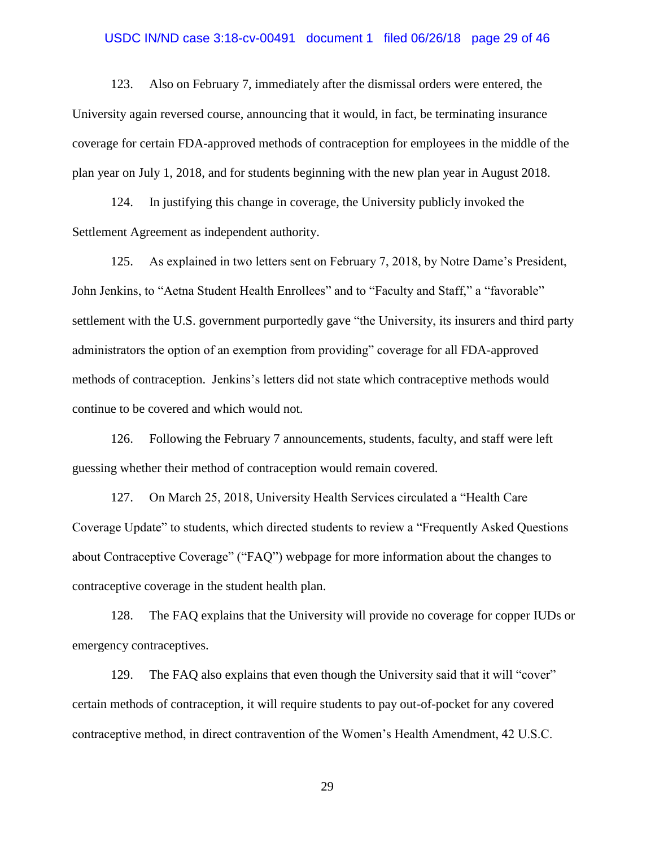### USDC IN/ND case 3:18-cv-00491 document 1 filed 06/26/18 page 29 of 46

123. Also on February 7, immediately after the dismissal orders were entered, the University again reversed course, announcing that it would, in fact, be terminating insurance coverage for certain FDA-approved methods of contraception for employees in the middle of the plan year on July 1, 2018, and for students beginning with the new plan year in August 2018.

124. In justifying this change in coverage, the University publicly invoked the Settlement Agreement as independent authority.

125. As explained in two letters sent on February 7, 2018, by Notre Dame's President, John Jenkins, to "Aetna Student Health Enrollees" and to "Faculty and Staff," a "favorable" settlement with the U.S. government purportedly gave "the University, its insurers and third party administrators the option of an exemption from providing" coverage for all FDA-approved methods of contraception. Jenkins's letters did not state which contraceptive methods would continue to be covered and which would not.

126. Following the February 7 announcements, students, faculty, and staff were left guessing whether their method of contraception would remain covered.

127. On March 25, 2018, University Health Services circulated a "Health Care Coverage Update" to students, which directed students to review a "Frequently Asked Questions about Contraceptive Coverage" ("FAQ") webpage for more information about the changes to contraceptive coverage in the student health plan.

128. The FAQ explains that the University will provide no coverage for copper IUDs or emergency contraceptives.

129. The FAQ also explains that even though the University said that it will "cover" certain methods of contraception, it will require students to pay out-of-pocket for any covered contraceptive method, in direct contravention of the Women's Health Amendment, 42 U.S.C.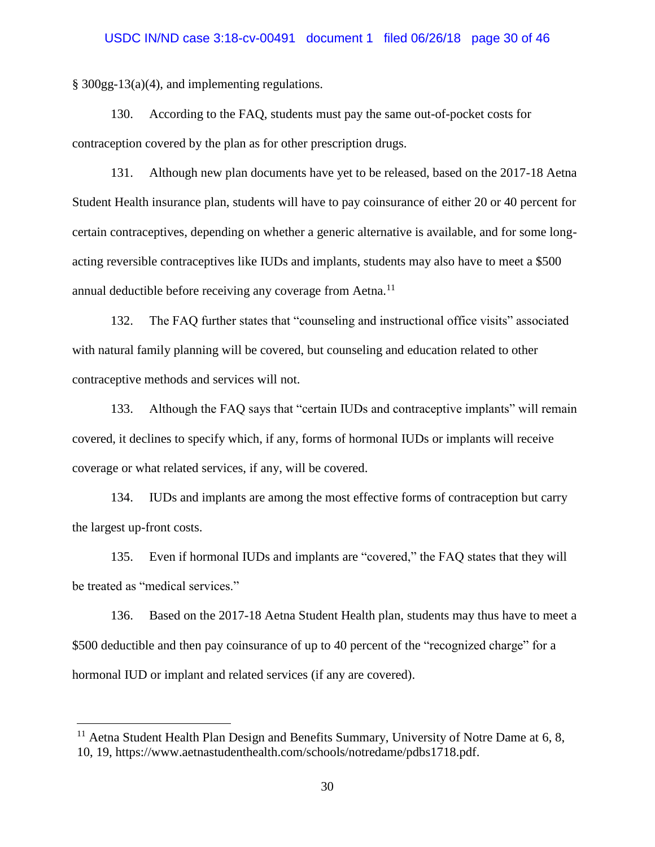§ 300gg-13(a)(4), and implementing regulations.

130. According to the FAQ, students must pay the same out-of-pocket costs for contraception covered by the plan as for other prescription drugs.

131. Although new plan documents have yet to be released, based on the 2017-18 Aetna Student Health insurance plan, students will have to pay coinsurance of either 20 or 40 percent for certain contraceptives, depending on whether a generic alternative is available, and for some longacting reversible contraceptives like IUDs and implants, students may also have to meet a \$500 annual deductible before receiving any coverage from Aetna.<sup>11</sup>

132. The FAQ further states that "counseling and instructional office visits" associated with natural family planning will be covered, but counseling and education related to other contraceptive methods and services will not.

133. Although the FAQ says that "certain IUDs and contraceptive implants" will remain covered, it declines to specify which, if any, forms of hormonal IUDs or implants will receive coverage or what related services, if any, will be covered.

134. IUDs and implants are among the most effective forms of contraception but carry the largest up-front costs.

135. Even if hormonal IUDs and implants are "covered," the FAQ states that they will be treated as "medical services."

136. Based on the 2017-18 Aetna Student Health plan, students may thus have to meet a \$500 deductible and then pay coinsurance of up to 40 percent of the "recognized charge" for a hormonal IUD or implant and related services (if any are covered).

 $11$  Aetna Student Health Plan Design and Benefits Summary, University of Notre Dame at 6, 8, 10, 19, https://www.aetnastudenthealth.com/schools/notredame/pdbs1718.pdf.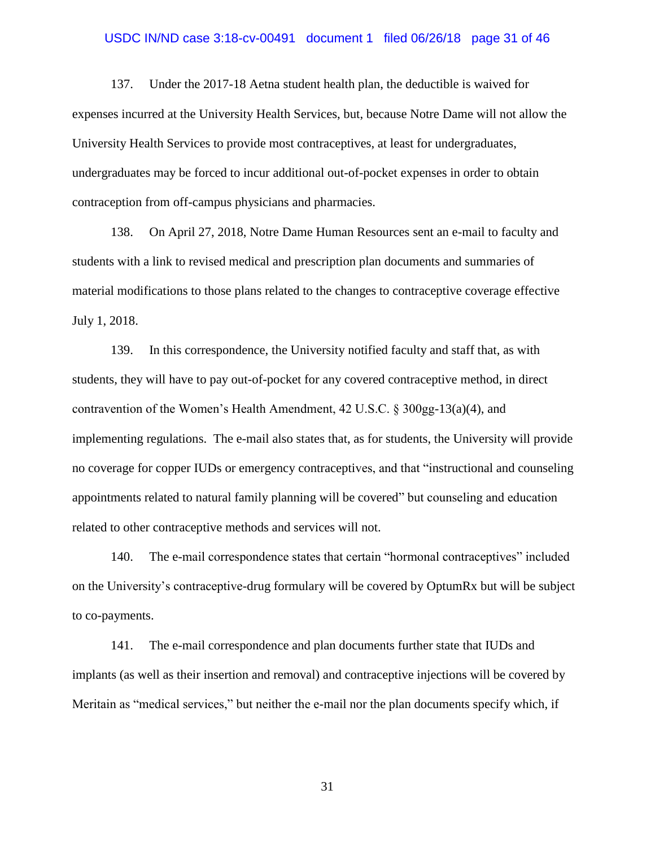### USDC IN/ND case 3:18-cv-00491 document 1 filed 06/26/18 page 31 of 46

137. Under the 2017-18 Aetna student health plan, the deductible is waived for expenses incurred at the University Health Services, but, because Notre Dame will not allow the University Health Services to provide most contraceptives, at least for undergraduates, undergraduates may be forced to incur additional out-of-pocket expenses in order to obtain contraception from off-campus physicians and pharmacies.

138. On April 27, 2018, Notre Dame Human Resources sent an e-mail to faculty and students with a link to revised medical and prescription plan documents and summaries of material modifications to those plans related to the changes to contraceptive coverage effective July 1, 2018.

139. In this correspondence, the University notified faculty and staff that, as with students, they will have to pay out-of-pocket for any covered contraceptive method, in direct contravention of the Women's Health Amendment, 42 U.S.C. § 300gg-13(a)(4), and implementing regulations. The e-mail also states that, as for students, the University will provide no coverage for copper IUDs or emergency contraceptives, and that "instructional and counseling appointments related to natural family planning will be covered" but counseling and education related to other contraceptive methods and services will not.

140. The e-mail correspondence states that certain "hormonal contraceptives" included on the University's contraceptive-drug formulary will be covered by OptumRx but will be subject to co-payments.

141. The e-mail correspondence and plan documents further state that IUDs and implants (as well as their insertion and removal) and contraceptive injections will be covered by Meritain as "medical services," but neither the e-mail nor the plan documents specify which, if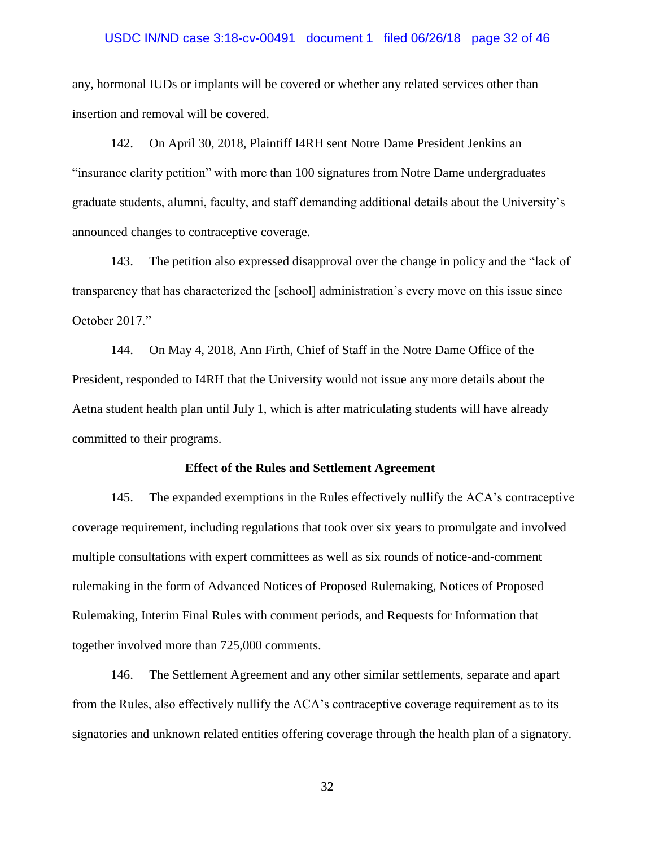#### USDC IN/ND case 3:18-cv-00491 document 1 filed 06/26/18 page 32 of 46

any, hormonal IUDs or implants will be covered or whether any related services other than insertion and removal will be covered.

142. On April 30, 2018, Plaintiff I4RH sent Notre Dame President Jenkins an "insurance clarity petition" with more than 100 signatures from Notre Dame undergraduates graduate students, alumni, faculty, and staff demanding additional details about the University's announced changes to contraceptive coverage.

143. The petition also expressed disapproval over the change in policy and the "lack of transparency that has characterized the [school] administration's every move on this issue since October 2017."

144. On May 4, 2018, Ann Firth, Chief of Staff in the Notre Dame Office of the President, responded to I4RH that the University would not issue any more details about the Aetna student health plan until July 1, which is after matriculating students will have already committed to their programs.

#### **Effect of the Rules and Settlement Agreement**

145. The expanded exemptions in the Rules effectively nullify the ACA's contraceptive coverage requirement, including regulations that took over six years to promulgate and involved multiple consultations with expert committees as well as six rounds of notice-and-comment rulemaking in the form of Advanced Notices of Proposed Rulemaking, Notices of Proposed Rulemaking, Interim Final Rules with comment periods, and Requests for Information that together involved more than 725,000 comments.

146. The Settlement Agreement and any other similar settlements, separate and apart from the Rules, also effectively nullify the ACA's contraceptive coverage requirement as to its signatories and unknown related entities offering coverage through the health plan of a signatory.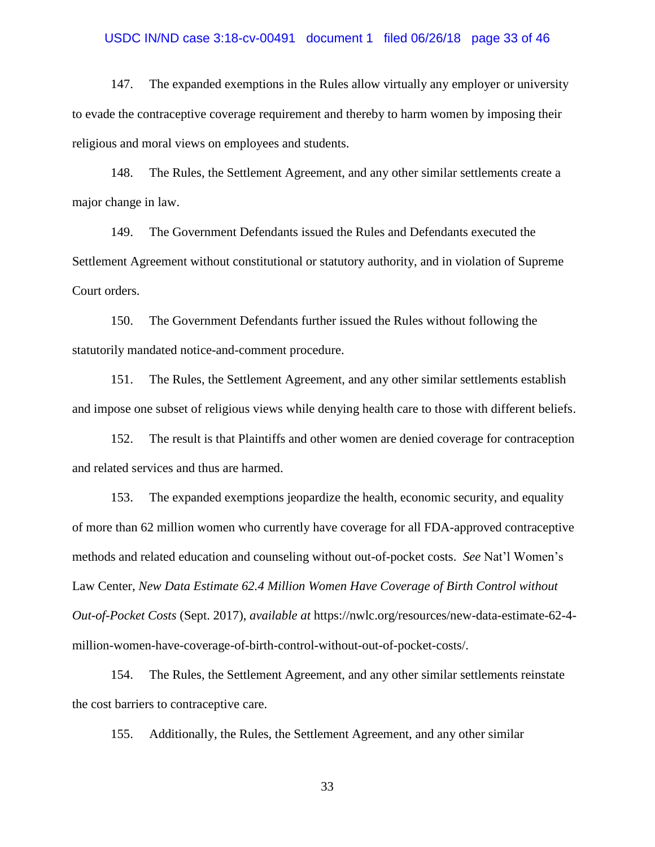# USDC IN/ND case 3:18-cv-00491 document 1 filed 06/26/18 page 33 of 46

147. The expanded exemptions in the Rules allow virtually any employer or university to evade the contraceptive coverage requirement and thereby to harm women by imposing their religious and moral views on employees and students.

148. The Rules, the Settlement Agreement, and any other similar settlements create a major change in law.

149. The Government Defendants issued the Rules and Defendants executed the Settlement Agreement without constitutional or statutory authority, and in violation of Supreme Court orders.

150. The Government Defendants further issued the Rules without following the statutorily mandated notice-and-comment procedure.

151. The Rules, the Settlement Agreement, and any other similar settlements establish and impose one subset of religious views while denying health care to those with different beliefs.

152. The result is that Plaintiffs and other women are denied coverage for contraception and related services and thus are harmed.

153. The expanded exemptions jeopardize the health, economic security, and equality of more than 62 million women who currently have coverage for all FDA-approved contraceptive methods and related education and counseling without out-of-pocket costs. *See* Nat'l Women's Law Center, *New Data Estimate 62.4 Million Women Have Coverage of Birth Control without Out-of-Pocket Costs* (Sept. 2017), *available at* https://nwlc.org/resources/new-data-estimate-62-4 million-women-have-coverage-of-birth-control-without-out-of-pocket-costs/.

154. The Rules, the Settlement Agreement, and any other similar settlements reinstate the cost barriers to contraceptive care.

155. Additionally, the Rules, the Settlement Agreement, and any other similar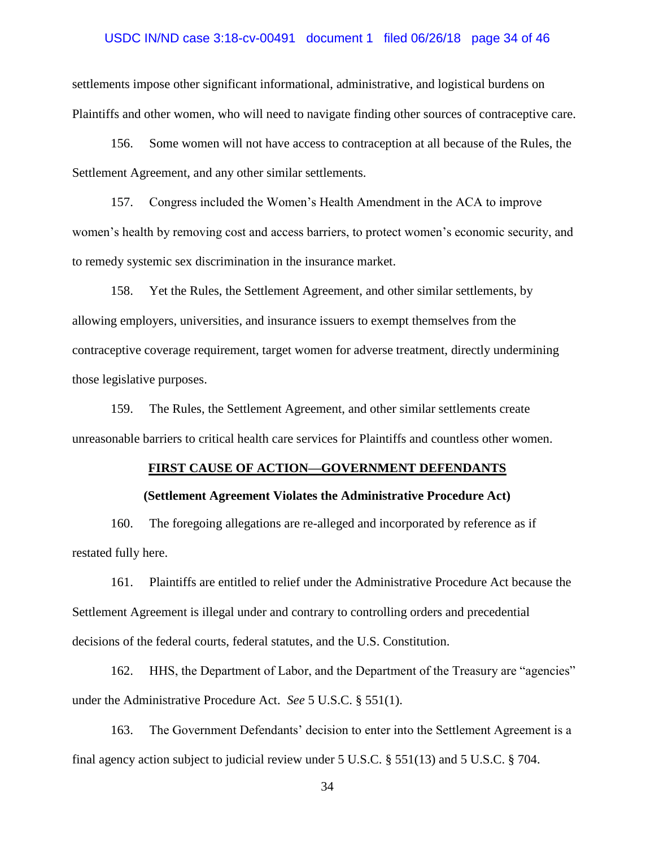### USDC IN/ND case 3:18-cv-00491 document 1 filed 06/26/18 page 34 of 46

settlements impose other significant informational, administrative, and logistical burdens on Plaintiffs and other women, who will need to navigate finding other sources of contraceptive care.

156. Some women will not have access to contraception at all because of the Rules, the Settlement Agreement, and any other similar settlements.

157. Congress included the Women's Health Amendment in the ACA to improve women's health by removing cost and access barriers, to protect women's economic security, and to remedy systemic sex discrimination in the insurance market.

158. Yet the Rules, the Settlement Agreement, and other similar settlements, by allowing employers, universities, and insurance issuers to exempt themselves from the contraceptive coverage requirement, target women for adverse treatment, directly undermining those legislative purposes.

159. The Rules, the Settlement Agreement, and other similar settlements create unreasonable barriers to critical health care services for Plaintiffs and countless other women.

#### **FIRST CAUSE OF ACTION—GOVERNMENT DEFENDANTS**

### **(Settlement Agreement Violates the Administrative Procedure Act)**

160. The foregoing allegations are re-alleged and incorporated by reference as if restated fully here.

161. Plaintiffs are entitled to relief under the Administrative Procedure Act because the Settlement Agreement is illegal under and contrary to controlling orders and precedential decisions of the federal courts, federal statutes, and the U.S. Constitution.

162. HHS, the Department of Labor, and the Department of the Treasury are "agencies" under the Administrative Procedure Act. *See* 5 U.S.C. § 551(1).

163. The Government Defendants' decision to enter into the Settlement Agreement is a final agency action subject to judicial review under 5 U.S.C. § 551(13) and 5 U.S.C. § 704.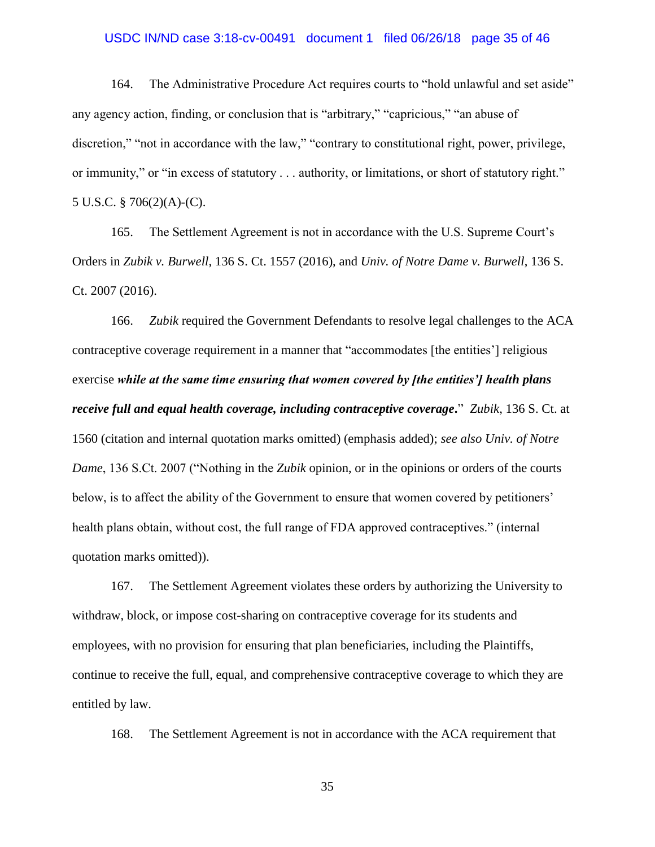### USDC IN/ND case 3:18-cv-00491 document 1 filed 06/26/18 page 35 of 46

164. The Administrative Procedure Act requires courts to "hold unlawful and set aside" any agency action, finding, or conclusion that is "arbitrary," "capricious," "an abuse of discretion," "not in accordance with the law," "contrary to constitutional right, power, privilege, or immunity," or "in excess of statutory . . . authority, or limitations, or short of statutory right." 5 U.S.C. § 706(2)(A)-(C).

165. The Settlement Agreement is not in accordance with the U.S. Supreme Court's Orders in *Zubik v. Burwell*, 136 S. Ct. 1557 (2016), and *Univ. of Notre Dame v. Burwell*, 136 S. Ct. 2007 (2016).

166. *Zubik* required the Government Defendants to resolve legal challenges to the ACA contraceptive coverage requirement in a manner that "accommodates [the entities'] religious exercise *while at the same time ensuring that women covered by [the entities'] health plans receive full and equal health coverage, including contraceptive coverage***.**" *Zubik*, 136 S. Ct. at 1560 (citation and internal quotation marks omitted) (emphasis added); *see also Univ. of Notre Dame*, 136 S.Ct. 2007 ("Nothing in the *Zubik* opinion, or in the opinions or orders of the courts below, is to affect the ability of the Government to ensure that women covered by petitioners' health plans obtain, without cost, the full range of FDA approved contraceptives." (internal quotation marks omitted)).

167. The Settlement Agreement violates these orders by authorizing the University to withdraw, block, or impose cost-sharing on contraceptive coverage for its students and employees, with no provision for ensuring that plan beneficiaries, including the Plaintiffs, continue to receive the full, equal, and comprehensive contraceptive coverage to which they are entitled by law.

168. The Settlement Agreement is not in accordance with the ACA requirement that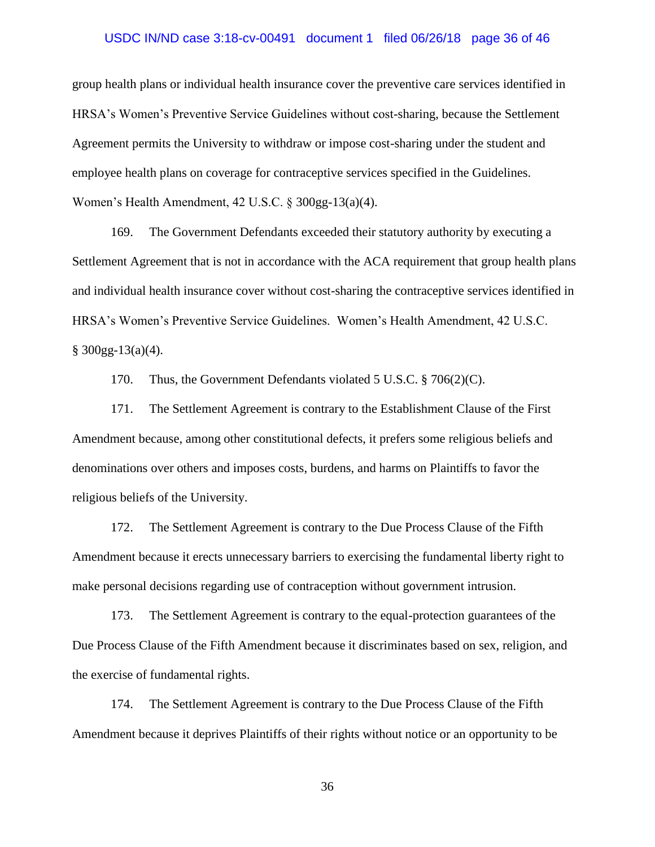### USDC IN/ND case 3:18-cv-00491 document 1 filed 06/26/18 page 36 of 46

group health plans or individual health insurance cover the preventive care services identified in HRSA's Women's Preventive Service Guidelines without cost-sharing, because the Settlement Agreement permits the University to withdraw or impose cost-sharing under the student and employee health plans on coverage for contraceptive services specified in the Guidelines. Women's Health Amendment, 42 U.S.C. § 300gg-13(a)(4).

169. The Government Defendants exceeded their statutory authority by executing a Settlement Agreement that is not in accordance with the ACA requirement that group health plans and individual health insurance cover without cost-sharing the contraceptive services identified in HRSA's Women's Preventive Service Guidelines. Women's Health Amendment, 42 U.S.C.  $§$  300gg-13(a)(4).

170. Thus, the Government Defendants violated 5 U.S.C. § 706(2)(C).

171. The Settlement Agreement is contrary to the Establishment Clause of the First Amendment because, among other constitutional defects, it prefers some religious beliefs and denominations over others and imposes costs, burdens, and harms on Plaintiffs to favor the religious beliefs of the University.

172. The Settlement Agreement is contrary to the Due Process Clause of the Fifth Amendment because it erects unnecessary barriers to exercising the fundamental liberty right to make personal decisions regarding use of contraception without government intrusion.

173. The Settlement Agreement is contrary to the equal-protection guarantees of the Due Process Clause of the Fifth Amendment because it discriminates based on sex, religion, and the exercise of fundamental rights.

174. The Settlement Agreement is contrary to the Due Process Clause of the Fifth Amendment because it deprives Plaintiffs of their rights without notice or an opportunity to be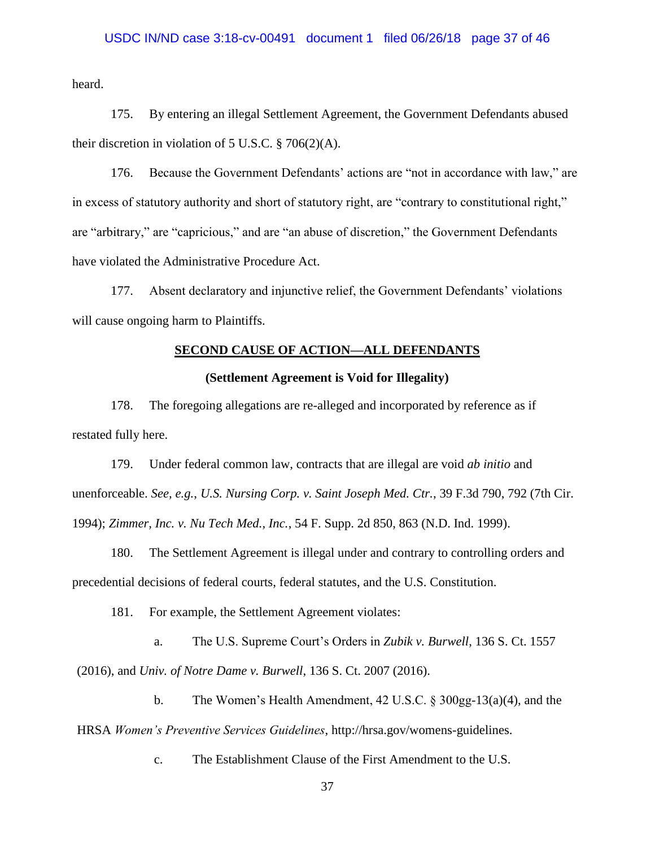### USDC IN/ND case 3:18-cv-00491 document 1 filed 06/26/18 page 37 of 46

heard.

175. By entering an illegal Settlement Agreement, the Government Defendants abused their discretion in violation of  $5$  U.S.C.  $\S$  706(2)(A).

176. Because the Government Defendants' actions are "not in accordance with law," are in excess of statutory authority and short of statutory right, are "contrary to constitutional right," are "arbitrary," are "capricious," and are "an abuse of discretion," the Government Defendants have violated the Administrative Procedure Act.

177. Absent declaratory and injunctive relief, the Government Defendants' violations will cause ongoing harm to Plaintiffs.

### **SECOND CAUSE OF ACTION—ALL DEFENDANTS**

### **(Settlement Agreement is Void for Illegality)**

178. The foregoing allegations are re-alleged and incorporated by reference as if restated fully here.

179. Under federal common law, contracts that are illegal are void *ab initio* and unenforceable. *See, e.g.*, *U.S. Nursing Corp. v. Saint Joseph Med. Ctr.*, 39 F.3d 790, 792 (7th Cir. 1994); *Zimmer, Inc. v. Nu Tech Med., Inc.*, 54 F. Supp. 2d 850, 863 (N.D. Ind. 1999).

180. The Settlement Agreement is illegal under and contrary to controlling orders and precedential decisions of federal courts, federal statutes, and the U.S. Constitution.

181. For example, the Settlement Agreement violates:

a. The U.S. Supreme Court's Orders in *Zubik v. Burwell*, 136 S. Ct. 1557 (2016), and *Univ. of Notre Dame v. Burwell*, 136 S. Ct. 2007 (2016).

b. The Women's Health Amendment, 42 U.S.C. § 300gg-13(a)(4), and the HRSA *Women's Preventive Services Guidelines*, http://hrsa.gov/womens-guidelines.

c. The Establishment Clause of the First Amendment to the U.S.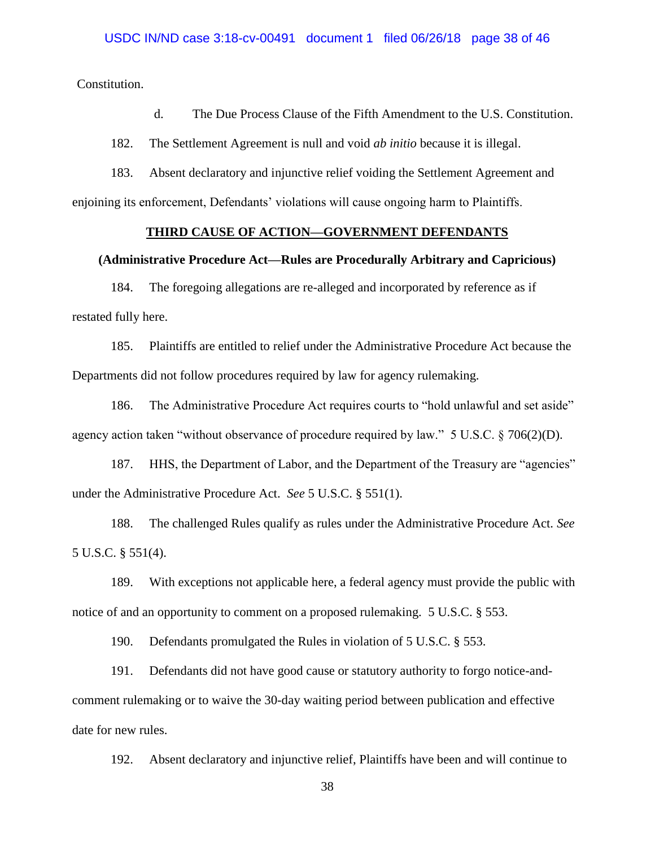Constitution.

d. The Due Process Clause of the Fifth Amendment to the U.S. Constitution.

182. The Settlement Agreement is null and void *ab initio* because it is illegal.

183. Absent declaratory and injunctive relief voiding the Settlement Agreement and enjoining its enforcement, Defendants' violations will cause ongoing harm to Plaintiffs.

### **THIRD CAUSE OF ACTION—GOVERNMENT DEFENDANTS**

#### **(Administrative Procedure Act—Rules are Procedurally Arbitrary and Capricious)**

184. The foregoing allegations are re-alleged and incorporated by reference as if restated fully here.

185. Plaintiffs are entitled to relief under the Administrative Procedure Act because the Departments did not follow procedures required by law for agency rulemaking.

186. The Administrative Procedure Act requires courts to "hold unlawful and set aside" agency action taken "without observance of procedure required by law." 5 U.S.C. § 706(2)(D).

187. HHS, the Department of Labor, and the Department of the Treasury are "agencies" under the Administrative Procedure Act. *See* 5 U.S.C. § 551(1).

188. The challenged Rules qualify as rules under the Administrative Procedure Act. *See*  5 U.S.C. § 551(4).

189. With exceptions not applicable here, a federal agency must provide the public with notice of and an opportunity to comment on a proposed rulemaking. 5 U.S.C. § 553.

190. Defendants promulgated the Rules in violation of 5 U.S.C. § 553.

191. Defendants did not have good cause or statutory authority to forgo notice-andcomment rulemaking or to waive the 30-day waiting period between publication and effective date for new rules.

192. Absent declaratory and injunctive relief, Plaintiffs have been and will continue to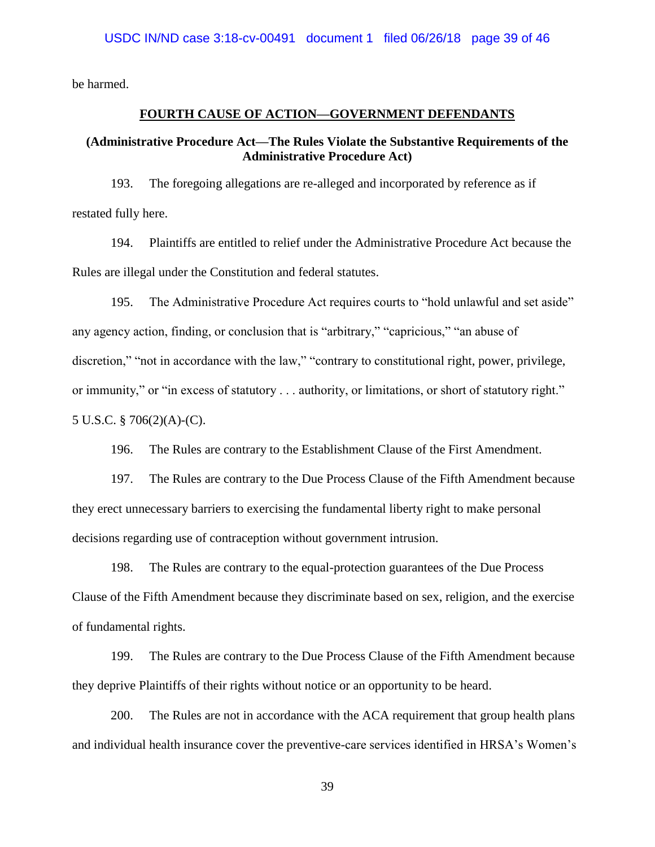be harmed.

## **FOURTH CAUSE OF ACTION—GOVERNMENT DEFENDANTS**

## **(Administrative Procedure Act—The Rules Violate the Substantive Requirements of the Administrative Procedure Act)**

193. The foregoing allegations are re-alleged and incorporated by reference as if restated fully here.

194. Plaintiffs are entitled to relief under the Administrative Procedure Act because the Rules are illegal under the Constitution and federal statutes.

195. The Administrative Procedure Act requires courts to "hold unlawful and set aside" any agency action, finding, or conclusion that is "arbitrary," "capricious," "an abuse of discretion," "not in accordance with the law," "contrary to constitutional right, power, privilege, or immunity," or "in excess of statutory . . . authority, or limitations, or short of statutory right." 5 U.S.C. § 706(2)(A)-(C).

196. The Rules are contrary to the Establishment Clause of the First Amendment.

197. The Rules are contrary to the Due Process Clause of the Fifth Amendment because they erect unnecessary barriers to exercising the fundamental liberty right to make personal decisions regarding use of contraception without government intrusion.

198. The Rules are contrary to the equal-protection guarantees of the Due Process Clause of the Fifth Amendment because they discriminate based on sex, religion, and the exercise of fundamental rights.

199. The Rules are contrary to the Due Process Clause of the Fifth Amendment because they deprive Plaintiffs of their rights without notice or an opportunity to be heard.

200. The Rules are not in accordance with the ACA requirement that group health plans and individual health insurance cover the preventive-care services identified in HRSA's Women's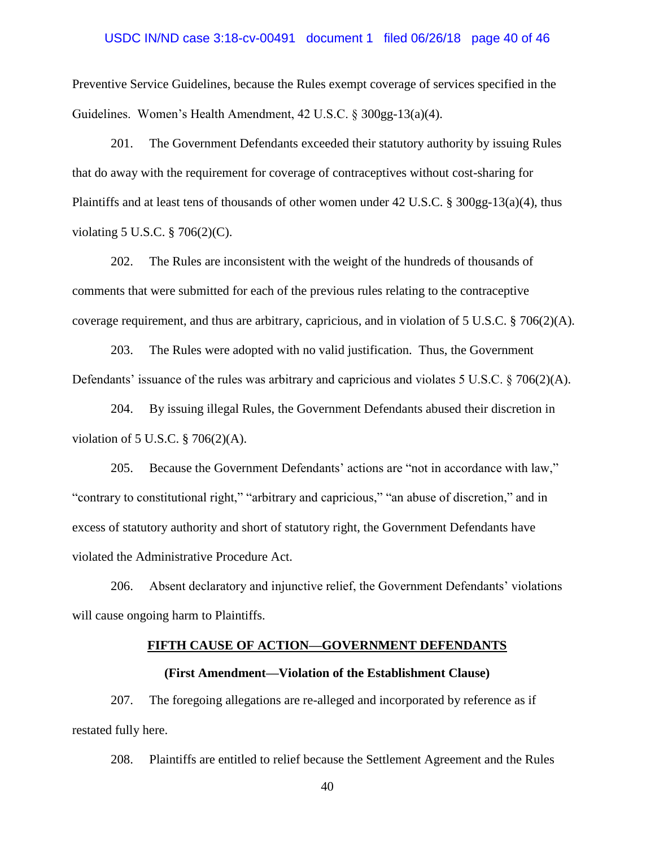### USDC IN/ND case 3:18-cv-00491 document 1 filed 06/26/18 page 40 of 46

Preventive Service Guidelines, because the Rules exempt coverage of services specified in the Guidelines. Women's Health Amendment, 42 U.S.C. § 300gg-13(a)(4).

201. The Government Defendants exceeded their statutory authority by issuing Rules that do away with the requirement for coverage of contraceptives without cost-sharing for Plaintiffs and at least tens of thousands of other women under 42 U.S.C. § 300gg-13(a)(4), thus violating 5 U.S.C. § 706(2)(C).

202. The Rules are inconsistent with the weight of the hundreds of thousands of comments that were submitted for each of the previous rules relating to the contraceptive coverage requirement, and thus are arbitrary, capricious, and in violation of 5 U.S.C.  $\S$  706(2)(A).

203. The Rules were adopted with no valid justification. Thus, the Government Defendants' issuance of the rules was arbitrary and capricious and violates 5 U.S.C. § 706(2)(A).

204. By issuing illegal Rules, the Government Defendants abused their discretion in violation of 5 U.S.C. § 706(2)(A).

205. Because the Government Defendants' actions are "not in accordance with law," "contrary to constitutional right," "arbitrary and capricious," "an abuse of discretion," and in excess of statutory authority and short of statutory right, the Government Defendants have violated the Administrative Procedure Act.

206. Absent declaratory and injunctive relief, the Government Defendants' violations will cause ongoing harm to Plaintiffs.

### **FIFTH CAUSE OF ACTION—GOVERNMENT DEFENDANTS**

### **(First Amendment—Violation of the Establishment Clause)**

207. The foregoing allegations are re-alleged and incorporated by reference as if restated fully here.

208. Plaintiffs are entitled to relief because the Settlement Agreement and the Rules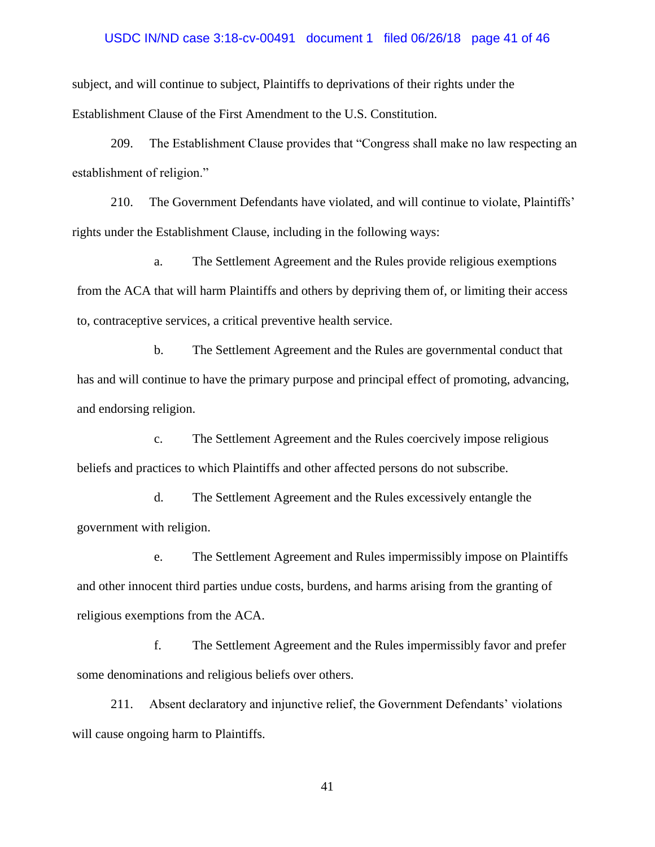#### USDC IN/ND case 3:18-cv-00491 document 1 filed 06/26/18 page 41 of 46

subject, and will continue to subject, Plaintiffs to deprivations of their rights under the Establishment Clause of the First Amendment to the U.S. Constitution.

209. The Establishment Clause provides that "Congress shall make no law respecting an establishment of religion."

210. The Government Defendants have violated, and will continue to violate, Plaintiffs' rights under the Establishment Clause, including in the following ways:

a. The Settlement Agreement and the Rules provide religious exemptions from the ACA that will harm Plaintiffs and others by depriving them of, or limiting their access to, contraceptive services, a critical preventive health service.

b. The Settlement Agreement and the Rules are governmental conduct that has and will continue to have the primary purpose and principal effect of promoting, advancing, and endorsing religion.

c. The Settlement Agreement and the Rules coercively impose religious beliefs and practices to which Plaintiffs and other affected persons do not subscribe.

d. The Settlement Agreement and the Rules excessively entangle the government with religion.

e. The Settlement Agreement and Rules impermissibly impose on Plaintiffs and other innocent third parties undue costs, burdens, and harms arising from the granting of religious exemptions from the ACA.

f. The Settlement Agreement and the Rules impermissibly favor and prefer some denominations and religious beliefs over others.

211. Absent declaratory and injunctive relief, the Government Defendants' violations will cause ongoing harm to Plaintiffs.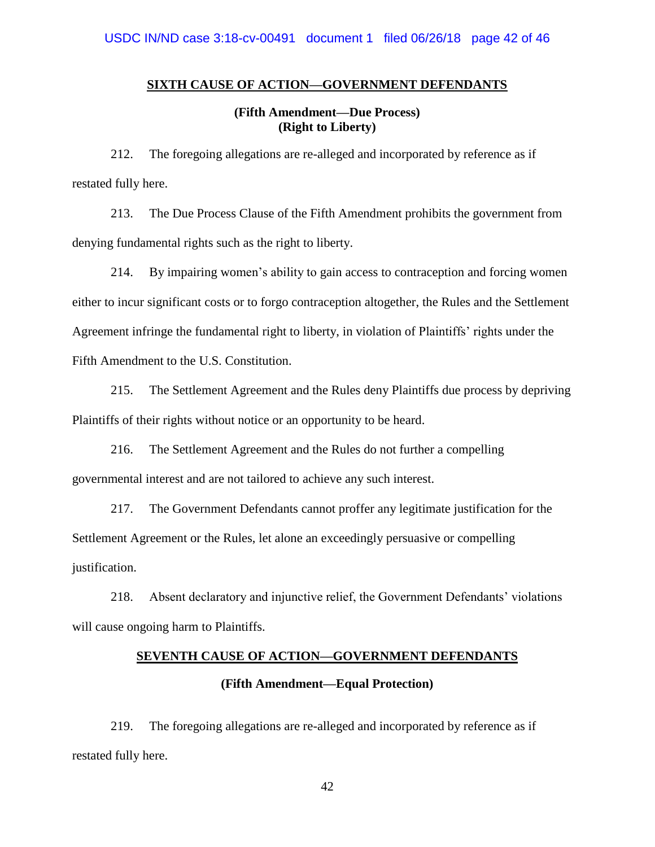### **SIXTH CAUSE OF ACTION—GOVERNMENT DEFENDANTS**

**(Fifth Amendment—Due Process) (Right to Liberty)**

212. The foregoing allegations are re-alleged and incorporated by reference as if restated fully here.

213. The Due Process Clause of the Fifth Amendment prohibits the government from denying fundamental rights such as the right to liberty.

214. By impairing women's ability to gain access to contraception and forcing women either to incur significant costs or to forgo contraception altogether, the Rules and the Settlement Agreement infringe the fundamental right to liberty, in violation of Plaintiffs' rights under the Fifth Amendment to the U.S. Constitution.

215. The Settlement Agreement and the Rules deny Plaintiffs due process by depriving Plaintiffs of their rights without notice or an opportunity to be heard.

216. The Settlement Agreement and the Rules do not further a compelling governmental interest and are not tailored to achieve any such interest.

217. The Government Defendants cannot proffer any legitimate justification for the Settlement Agreement or the Rules, let alone an exceedingly persuasive or compelling justification.

218. Absent declaratory and injunctive relief, the Government Defendants' violations will cause ongoing harm to Plaintiffs.

## **SEVENTH CAUSE OF ACTION—GOVERNMENT DEFENDANTS**

### **(Fifth Amendment—Equal Protection)**

219. The foregoing allegations are re-alleged and incorporated by reference as if restated fully here.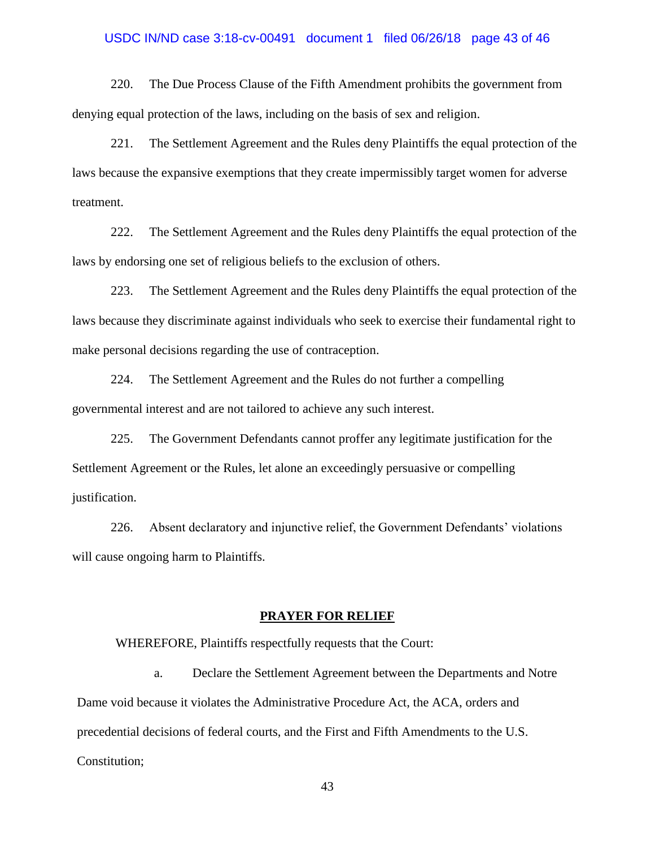# USDC IN/ND case 3:18-cv-00491 document 1 filed 06/26/18 page 43 of 46

220. The Due Process Clause of the Fifth Amendment prohibits the government from denying equal protection of the laws, including on the basis of sex and religion.

221. The Settlement Agreement and the Rules deny Plaintiffs the equal protection of the laws because the expansive exemptions that they create impermissibly target women for adverse treatment.

222. The Settlement Agreement and the Rules deny Plaintiffs the equal protection of the laws by endorsing one set of religious beliefs to the exclusion of others.

223. The Settlement Agreement and the Rules deny Plaintiffs the equal protection of the laws because they discriminate against individuals who seek to exercise their fundamental right to make personal decisions regarding the use of contraception.

224. The Settlement Agreement and the Rules do not further a compelling governmental interest and are not tailored to achieve any such interest.

225. The Government Defendants cannot proffer any legitimate justification for the Settlement Agreement or the Rules, let alone an exceedingly persuasive or compelling justification.

226. Absent declaratory and injunctive relief, the Government Defendants' violations will cause ongoing harm to Plaintiffs.

#### **PRAYER FOR RELIEF**

WHEREFORE, Plaintiffs respectfully requests that the Court:

a. Declare the Settlement Agreement between the Departments and Notre Dame void because it violates the Administrative Procedure Act, the ACA, orders and precedential decisions of federal courts, and the First and Fifth Amendments to the U.S. Constitution;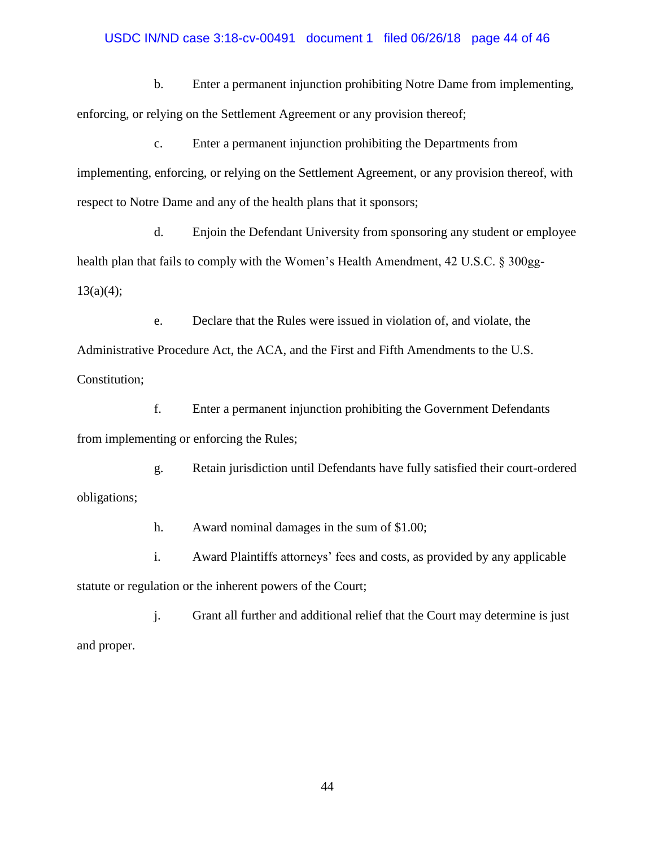### USDC IN/ND case 3:18-cv-00491 document 1 filed 06/26/18 page 44 of 46

b. Enter a permanent injunction prohibiting Notre Dame from implementing, enforcing, or relying on the Settlement Agreement or any provision thereof;

c. Enter a permanent injunction prohibiting the Departments from implementing, enforcing, or relying on the Settlement Agreement, or any provision thereof, with respect to Notre Dame and any of the health plans that it sponsors;

d. Enjoin the Defendant University from sponsoring any student or employee health plan that fails to comply with the Women's Health Amendment, 42 U.S.C. § 300gg- $13(a)(4);$ 

e. Declare that the Rules were issued in violation of, and violate, the Administrative Procedure Act, the ACA, and the First and Fifth Amendments to the U.S. Constitution;

f. Enter a permanent injunction prohibiting the Government Defendants from implementing or enforcing the Rules;

g. Retain jurisdiction until Defendants have fully satisfied their court-ordered obligations;

h. Award nominal damages in the sum of \$1.00;

i. Award Plaintiffs attorneys' fees and costs, as provided by any applicable statute or regulation or the inherent powers of the Court;

j. Grant all further and additional relief that the Court may determine is just and proper.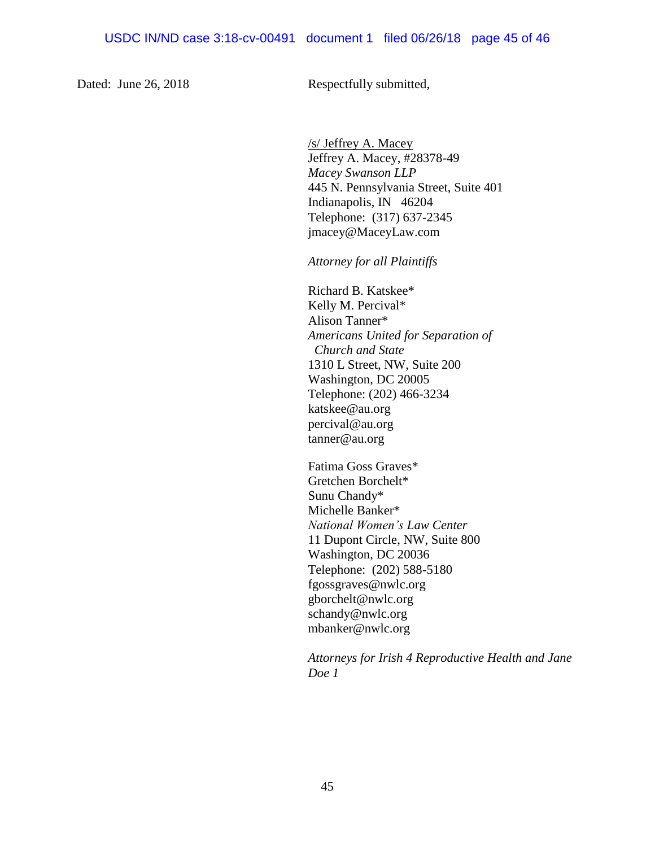Dated: June 26, 2018 Respectfully submitted,

/s/ Jeffrey A. Macey Jeffrey A. Macey, #28378-49 *Macey Swanson LLP* 445 N. Pennsylvania Street, Suite 401 Indianapolis, IN 46204 Telephone: (317) 637-2345 jmacey@MaceyLaw.com

*Attorney for all Plaintiffs*

Richard B. Katskee\* Kelly M. Percival\* Alison Tanner\* *Americans United for Separation of Church and State* 1310 L Street, NW, Suite 200 Washington, DC 20005 Telephone: (202) 466-3234 katskee@au.org percival@au.org tanner@au.org

Fatima Goss Graves\* Gretchen Borchelt\* Sunu Chandy\* Michelle Banker\* *National Women's Law Center* 11 Dupont Circle, NW, Suite 800 Washington, DC 20036 Telephone: (202) 588-5180 fgossgraves@nwlc.org gborchelt@nwlc.org schandy@nwlc.org mbanker@nwlc.org

*Attorneys for Irish 4 Reproductive Health and Jane Doe 1*